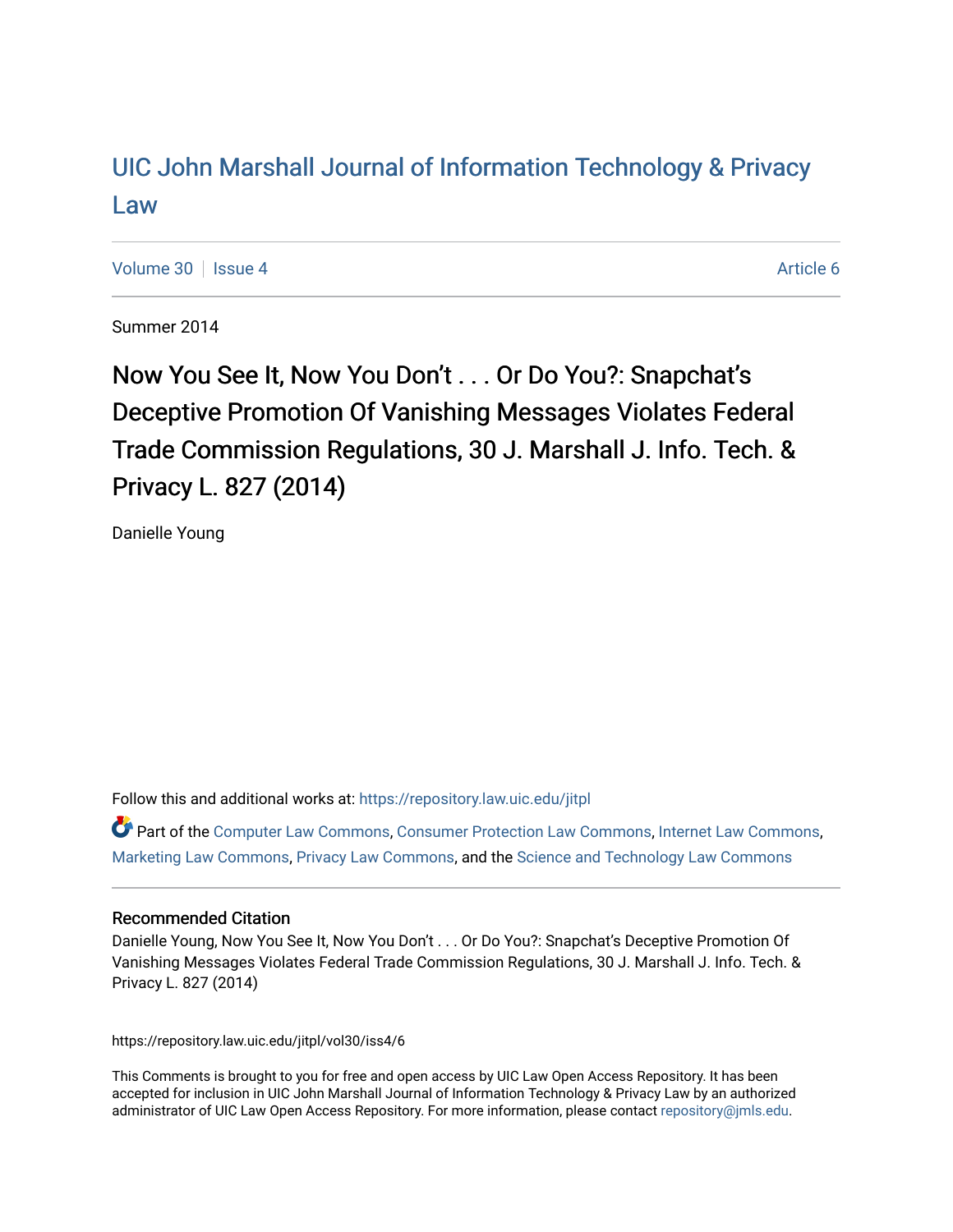# [UIC John Marshall Journal of Information Technology & Privacy](https://repository.law.uic.edu/jitpl)  [Law](https://repository.law.uic.edu/jitpl)

[Volume 30](https://repository.law.uic.edu/jitpl/vol30) | [Issue 4](https://repository.law.uic.edu/jitpl/vol30/iss4) Article 6

Summer 2014

Now You See It, Now You Don't . . . Or Do You?: Snapchat's Deceptive Promotion Of Vanishing Messages Violates Federal Trade Commission Regulations, 30 J. Marshall J. Info. Tech. & Privacy L. 827 (2014)

Danielle Young

Follow this and additional works at: [https://repository.law.uic.edu/jitpl](https://repository.law.uic.edu/jitpl?utm_source=repository.law.uic.edu%2Fjitpl%2Fvol30%2Fiss4%2F6&utm_medium=PDF&utm_campaign=PDFCoverPages) 

Part of the [Computer Law Commons,](http://network.bepress.com/hgg/discipline/837?utm_source=repository.law.uic.edu%2Fjitpl%2Fvol30%2Fiss4%2F6&utm_medium=PDF&utm_campaign=PDFCoverPages) [Consumer Protection Law Commons,](http://network.bepress.com/hgg/discipline/838?utm_source=repository.law.uic.edu%2Fjitpl%2Fvol30%2Fiss4%2F6&utm_medium=PDF&utm_campaign=PDFCoverPages) [Internet Law Commons,](http://network.bepress.com/hgg/discipline/892?utm_source=repository.law.uic.edu%2Fjitpl%2Fvol30%2Fiss4%2F6&utm_medium=PDF&utm_campaign=PDFCoverPages) [Marketing Law Commons](http://network.bepress.com/hgg/discipline/1045?utm_source=repository.law.uic.edu%2Fjitpl%2Fvol30%2Fiss4%2F6&utm_medium=PDF&utm_campaign=PDFCoverPages), [Privacy Law Commons](http://network.bepress.com/hgg/discipline/1234?utm_source=repository.law.uic.edu%2Fjitpl%2Fvol30%2Fiss4%2F6&utm_medium=PDF&utm_campaign=PDFCoverPages), and the [Science and Technology Law Commons](http://network.bepress.com/hgg/discipline/875?utm_source=repository.law.uic.edu%2Fjitpl%2Fvol30%2Fiss4%2F6&utm_medium=PDF&utm_campaign=PDFCoverPages)

# Recommended Citation

Danielle Young, Now You See It, Now You Don't . . . Or Do You?: Snapchat's Deceptive Promotion Of Vanishing Messages Violates Federal Trade Commission Regulations, 30 J. Marshall J. Info. Tech. & Privacy L. 827 (2014)

https://repository.law.uic.edu/jitpl/vol30/iss4/6

This Comments is brought to you for free and open access by UIC Law Open Access Repository. It has been accepted for inclusion in UIC John Marshall Journal of Information Technology & Privacy Law by an authorized administrator of UIC Law Open Access Repository. For more information, please contact [repository@jmls.edu.](mailto:repository@jmls.edu)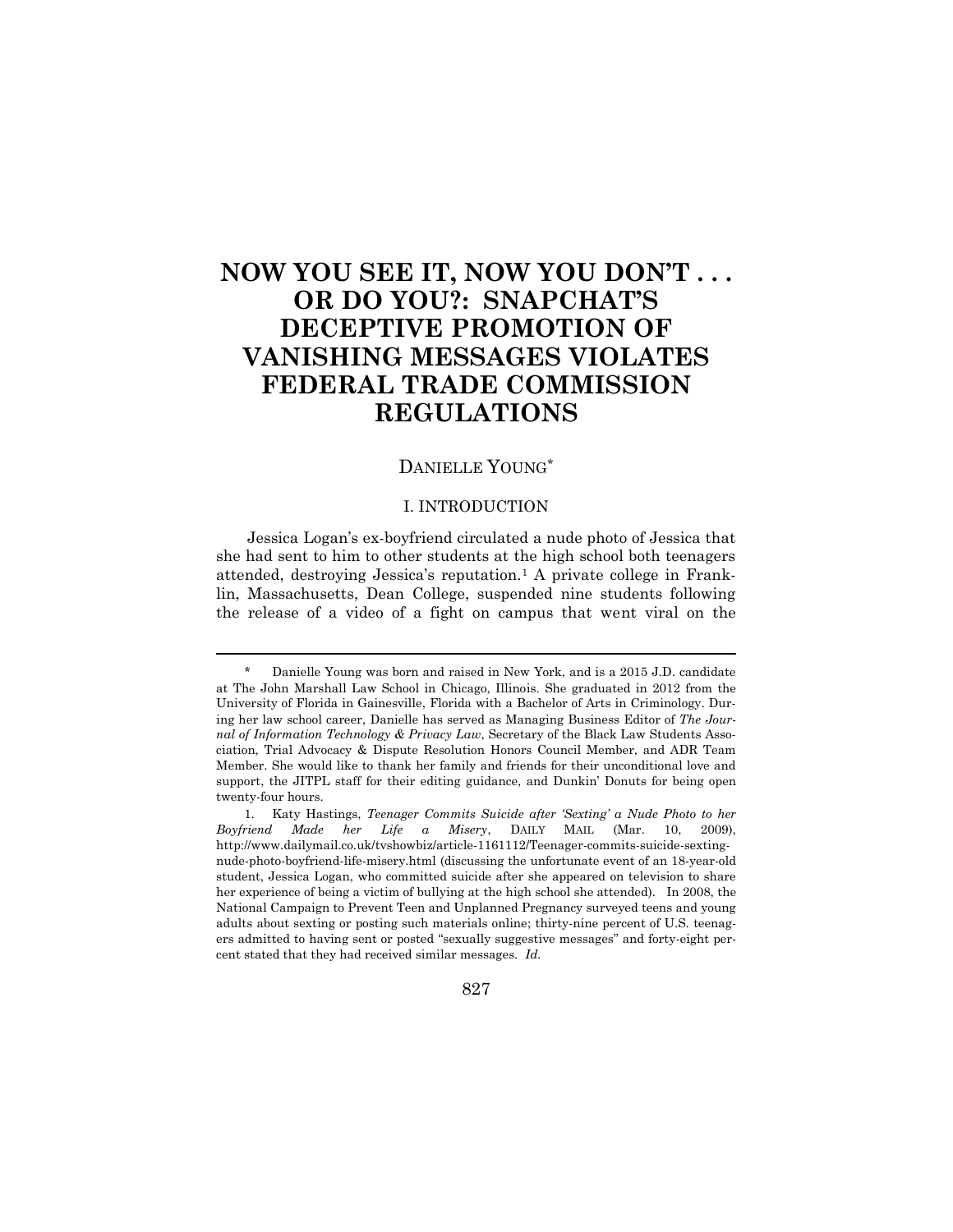# **NOW YOU SEE IT, NOW YOU DON'T . . . OR DO YOU?: SNAPCHAT'S DECEPTIVE PROMOTION OF VANISHING MESSAGES VIOLATES FEDERAL TRADE COMMISSION REGULATIONS**

# DANIELLE YOUNG\*

## I. INTRODUCTION

Jessica Logan's ex-boyfriend circulated a nude photo of Jessica that she had sent to him to other students at the high school both teenagers attended, destroying Jessica's reputation.<sup>1</sup> A private college in Franklin, Massachusetts, Dean College, suspended nine students following the release of a video of a fight on campus that went viral on the

 $\overline{a}$ 

827

<sup>\*</sup> Danielle Young was born and raised in New York, and is a 2015 J.D. candidate at The John Marshall Law School in Chicago, Illinois. She graduated in 2012 from the University of Florida in Gainesville, Florida with a Bachelor of Arts in Criminology. During her law school career, Danielle has served as Managing Business Editor of *The Journal of Information Technology & Privacy Law*, Secretary of the Black Law Students Association, Trial Advocacy & Dispute Resolution Honors Council Member, and ADR Team Member. She would like to thank her family and friends for their unconditional love and support, the JITPL staff for their editing guidance, and Dunkin' Donuts for being open twenty-four hours.

<sup>1.</sup> Katy Hastings, *Teenager Commits Suicide after 'Sexting' a Nude Photo to her Boyfriend Made her Life a Misery*, DAILY MAIL (Mar. 10, 2009), http://www.dailymail.co.uk/tvshowbiz/article-1161112/Teenager-commits-suicide-sextingnude-photo-boyfriend-life-misery.html (discussing the unfortunate event of an 18-year-old student, Jessica Logan, who committed suicide after she appeared on television to share her experience of being a victim of bullying at the high school she attended). In 2008, the National Campaign to Prevent Teen and Unplanned Pregnancy surveyed teens and young adults about sexting or posting such materials online; thirty-nine percent of U.S. teenagers admitted to having sent or posted "sexually suggestive messages" and forty-eight percent stated that they had received similar messages. *Id.*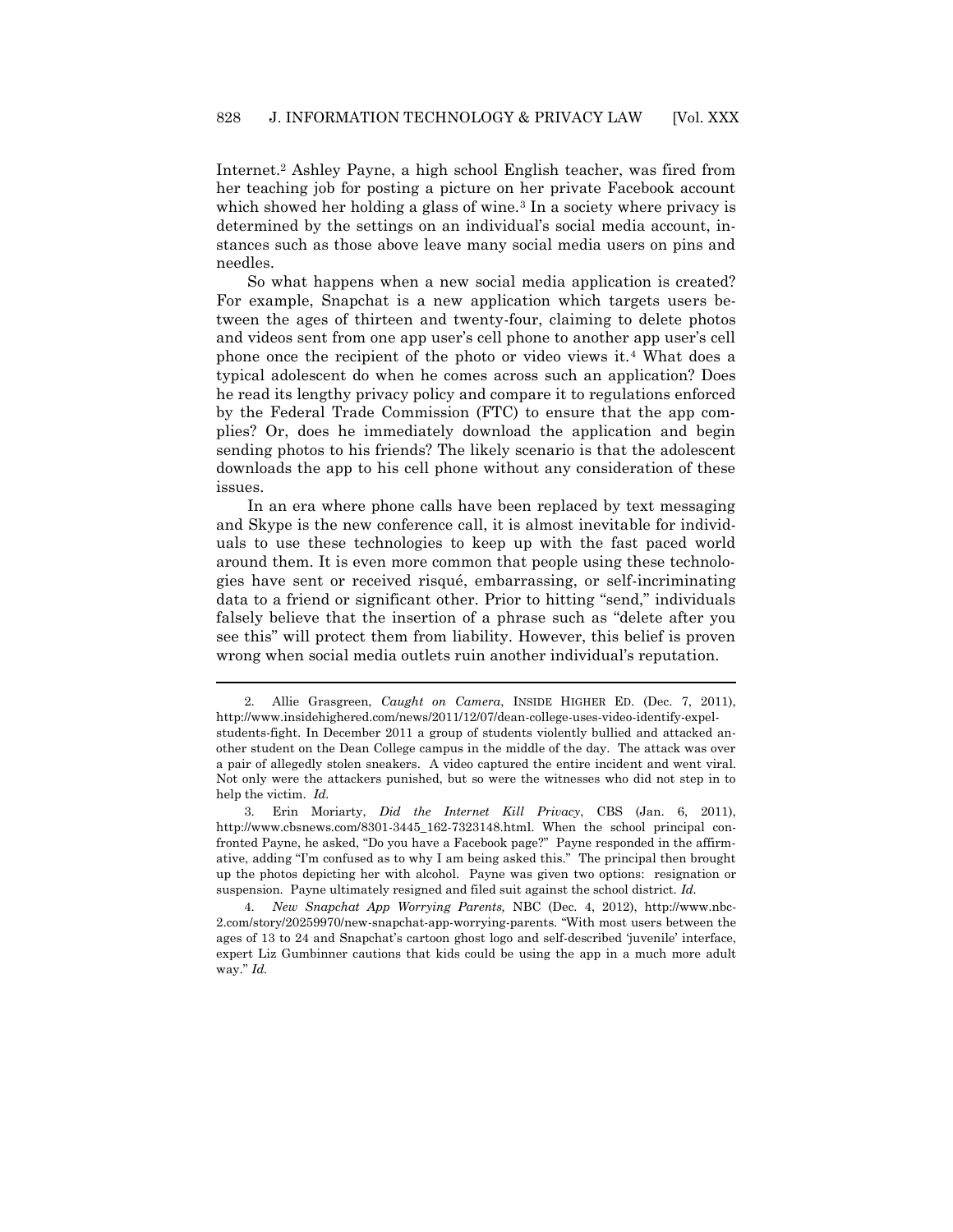Internet.<sup>2</sup> Ashley Payne, a high school English teacher, was fired from her teaching job for posting a picture on her private Facebook account which showed her holding a glass of wine.<sup>3</sup> In a society where privacy is determined by the settings on an individual's social media account, instances such as those above leave many social media users on pins and needles.

So what happens when a new social media application is created? For example, Snapchat is a new application which targets users between the ages of thirteen and twenty-four, claiming to delete photos and videos sent from one app user's cell phone to another app user's cell phone once the recipient of the photo or video views it.<sup>4</sup> What does a typical adolescent do when he comes across such an application? Does he read its lengthy privacy policy and compare it to regulations enforced by the Federal Trade Commission (FTC) to ensure that the app complies? Or, does he immediately download the application and begin sending photos to his friends? The likely scenario is that the adolescent downloads the app to his cell phone without any consideration of these issues.

In an era where phone calls have been replaced by text messaging and Skype is the new conference call, it is almost inevitable for individuals to use these technologies to keep up with the fast paced world around them. It is even more common that people using these technologies have sent or received risqué, embarrassing, or self-incriminating data to a friend or significant other. Prior to hitting "send," individuals falsely believe that the insertion of a phrase such as "delete after you see this" will protect them from liability. However, this belief is proven wrong when social media outlets ruin another individual's reputation.

<sup>2.</sup> Allie Grasgreen, *Caught on Camera*, INSIDE HIGHER ED. (Dec. 7, 2011), http://www.insidehighered.com/news/2011/12/07/dean-college-uses-video-identify-expelstudents-fight. In December 2011 a group of students violently bullied and attacked another student on the Dean College campus in the middle of the day. The attack was over a pair of allegedly stolen sneakers. A video captured the entire incident and went viral. Not only were the attackers punished, but so were the witnesses who did not step in to help the victim. *Id.*

<sup>3.</sup> Erin Moriarty, *Did the Internet Kill Privacy*, CBS (Jan. 6, 2011), http://www.cbsnews.com/8301-3445\_162-7323148.html. When the school principal confronted Payne, he asked, "Do you have a Facebook page?" Payne responded in the affirmative, adding "I'm confused as to why I am being asked this." The principal then brought up the photos depicting her with alcohol. Payne was given two options: resignation or suspension. Payne ultimately resigned and filed suit against the school district. *Id.*

<sup>4.</sup> *New Snapchat App Worrying Parents,* NBC (Dec. 4, 2012), http://www.nbc-2.com/story/20259970/new-snapchat-app-worrying-parents. "With most users between the ages of 13 to 24 and Snapchat's cartoon ghost logo and self-described 'juvenile' interface, expert Liz Gumbinner cautions that kids could be using the app in a much more adult way." *Id.*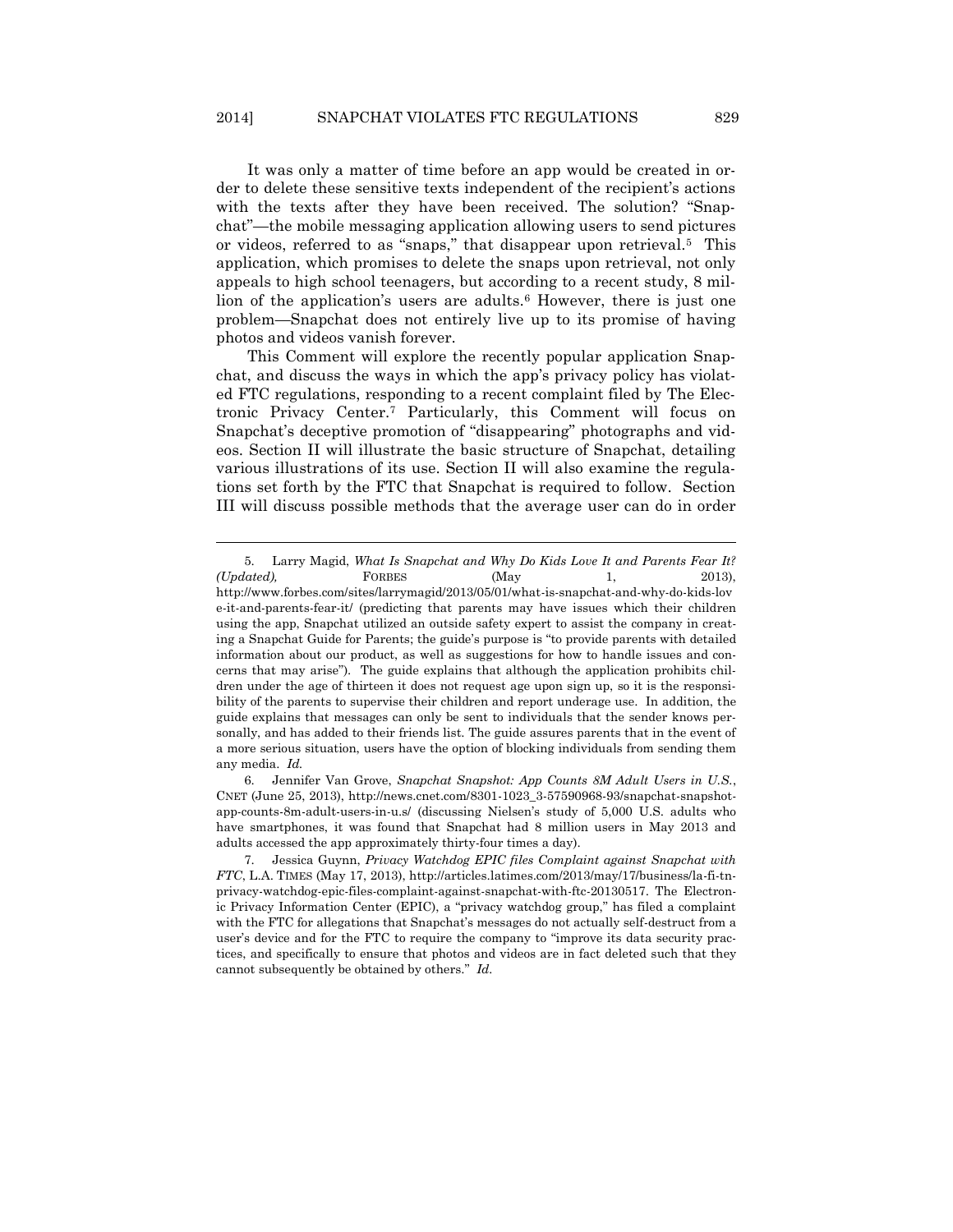It was only a matter of time before an app would be created in order to delete these sensitive texts independent of the recipient's actions with the texts after they have been received. The solution? "Snapchat"—the mobile messaging application allowing users to send pictures or videos, referred to as "snaps," that disappear upon retrieval.<sup>5</sup> This application, which promises to delete the snaps upon retrieval, not only appeals to high school teenagers, but according to a recent study, 8 million of the application's users are adults.<sup>6</sup> However, there is just one problem—Snapchat does not entirely live up to its promise of having photos and videos vanish forever.

This Comment will explore the recently popular application Snapchat, and discuss the ways in which the app's privacy policy has violated FTC regulations, responding to a recent complaint filed by The Electronic Privacy Center.<sup>7</sup> Particularly, this Comment will focus on Snapchat's deceptive promotion of "disappearing" photographs and videos. Section II will illustrate the basic structure of Snapchat, detailing various illustrations of its use. Section II will also examine the regulations set forth by the FTC that Snapchat is required to follow. Section III will discuss possible methods that the average user can do in order

 $\overline{a}$ 

6. Jennifer Van Grove, *Snapchat Snapshot: App Counts 8M Adult Users in U.S.*, CNET (June 25, 2013), http://news.cnet.com/8301-1023\_3-57590968-93/snapchat-snapshotapp-counts-8m-adult-users-in-u.s/ (discussing Nielsen's study of 5,000 U.S. adults who have smartphones, it was found that Snapchat had 8 million users in May 2013 and adults accessed the app approximately thirty-four times a day).

<sup>5.</sup> Larry Magid, *What Is Snapchat and Why Do Kids Love It and Parents Fear It? (Updated),* FORBES (May 1, 2013), http://www.forbes.com/sites/larrymagid/2013/05/01/what-is-snapchat-and-why-do-kids-lov e-it-and-parents-fear-it/ (predicting that parents may have issues which their children using the app, Snapchat utilized an outside safety expert to assist the company in creating a Snapchat Guide for Parents; the guide's purpose is "to provide parents with detailed information about our product, as well as suggestions for how to handle issues and concerns that may arise"). The guide explains that although the application prohibits children under the age of thirteen it does not request age upon sign up, so it is the responsibility of the parents to supervise their children and report underage use. In addition, the guide explains that messages can only be sent to individuals that the sender knows personally, and has added to their friends list. The guide assures parents that in the event of a more serious situation, users have the option of blocking individuals from sending them any media. *Id.*

<sup>7.</sup> Jessica Guynn, *Privacy Watchdog EPIC files Complaint against Snapchat with FTC*, L.A. TIMES (May 17, 2013), http://articles.latimes.com/2013/may/17/business/la-fi-tnprivacy-watchdog-epic-files-complaint-against-snapchat-with-ftc-20130517. The Electronic Privacy Information Center (EPIC), a "privacy watchdog group," has filed a complaint with the FTC for allegations that Snapchat's messages do not actually self-destruct from a user's device and for the FTC to require the company to "improve its data security practices, and specifically to ensure that photos and videos are in fact deleted such that they cannot subsequently be obtained by others." *Id.*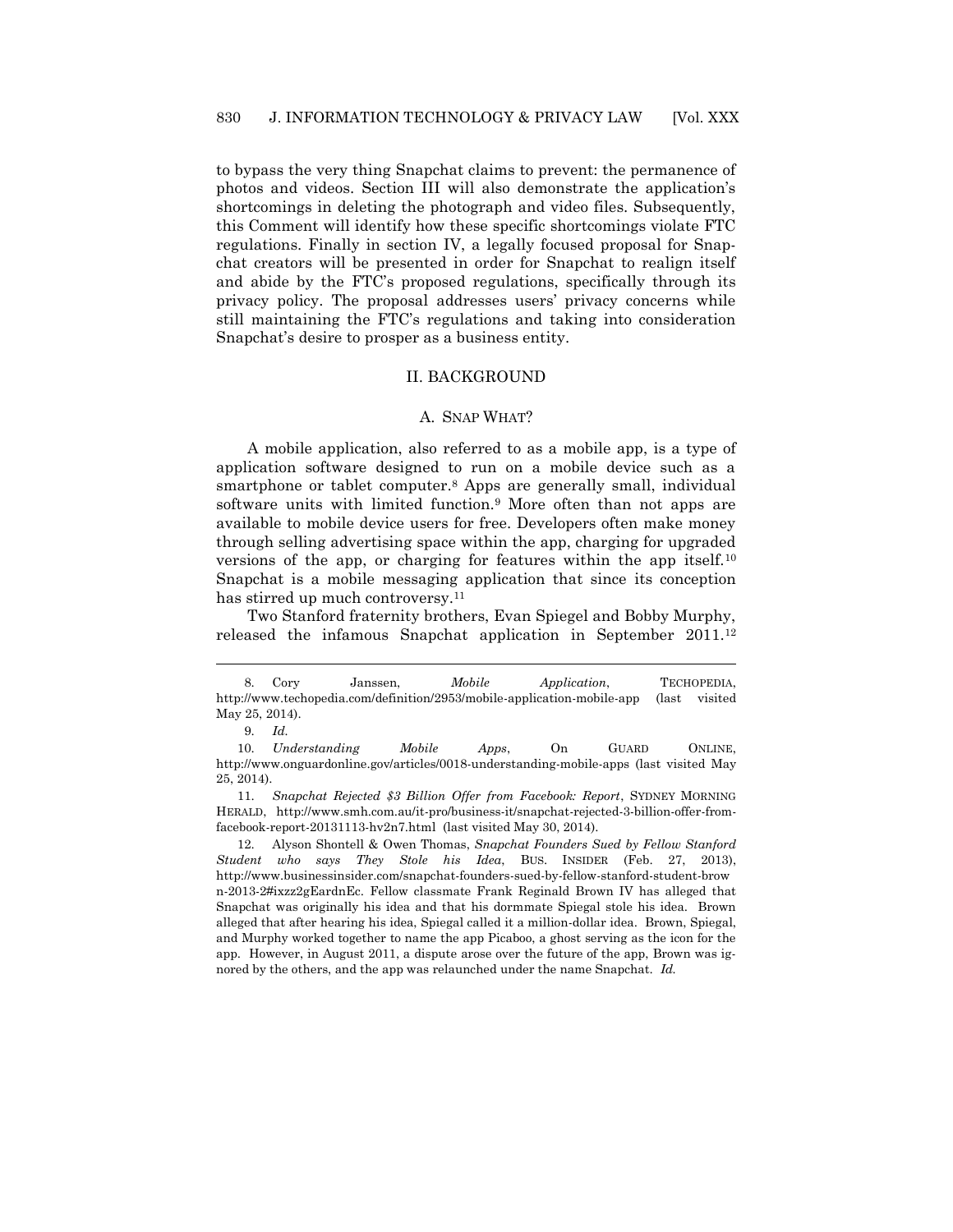to bypass the very thing Snapchat claims to prevent: the permanence of photos and videos. Section III will also demonstrate the application's shortcomings in deleting the photograph and video files. Subsequently, this Comment will identify how these specific shortcomings violate FTC regulations. Finally in section IV, a legally focused proposal for Snapchat creators will be presented in order for Snapchat to realign itself and abide by the FTC's proposed regulations, specifically through its privacy policy. The proposal addresses users' privacy concerns while still maintaining the FTC's regulations and taking into consideration Snapchat's desire to prosper as a business entity.

#### II. BACKGROUND

#### A. SNAP WHAT?

A mobile application, also referred to as a mobile app, is a type of application software designed to run on a mobile device such as a smartphone or tablet computer.<sup>8</sup> Apps are generally small, individual software units with limited function.<sup>9</sup> More often than not apps are available to mobile device users for free. Developers often make money through selling advertising space within the app, charging for upgraded versions of the app, or charging for features within the app itself.<sup>10</sup> Snapchat is a mobile messaging application that since its conception has stirred up much controversy.<sup>11</sup>

Two Stanford fraternity brothers, Evan Spiegel and Bobby Murphy, released the infamous Snapchat application in September 2011.<sup>12</sup>

 $\overline{a}$ 

10. *Understanding Mobile Apps*, On GUARD ONLINE, http://www.onguardonline.gov/articles/0018-understanding-mobile-apps (last visited May 25, 2014).

12. Alyson Shontell & Owen Thomas, *Snapchat Founders Sued by Fellow Stanford Student who says They Stole his Idea*, BUS. INSIDER (Feb. 27, 2013), http://www.businessinsider.com/snapchat-founders-sued-by-fellow-stanford-student-brow n-2013-2#ixzz2gEardnEc. Fellow classmate Frank Reginald Brown IV has alleged that Snapchat was originally his idea and that his dormmate Spiegal stole his idea. Brown alleged that after hearing his idea, Spiegal called it a million-dollar idea. Brown, Spiegal, and Murphy worked together to name the app Picaboo, a ghost serving as the icon for the app. However, in August 2011, a dispute arose over the future of the app, Brown was ignored by the others, and the app was relaunched under the name Snapchat. *Id.*

<sup>8.</sup> Cory Janssen, *Mobile Application*, TECHOPEDIA, http://www.techopedia.com/definition/2953/mobile-application-mobile-app (last visited May 25, 2014).

<sup>9.</sup> *Id.*

<sup>11.</sup> *Snapchat Rejected \$3 Billion Offer from Facebook: Report*, SYDNEY MORNING HERALD, http://www.smh.com.au/it-pro/business-it/snapchat-rejected-3-billion-offer-fromfacebook-report-20131113-hv2n7.html (last visited May 30, 2014).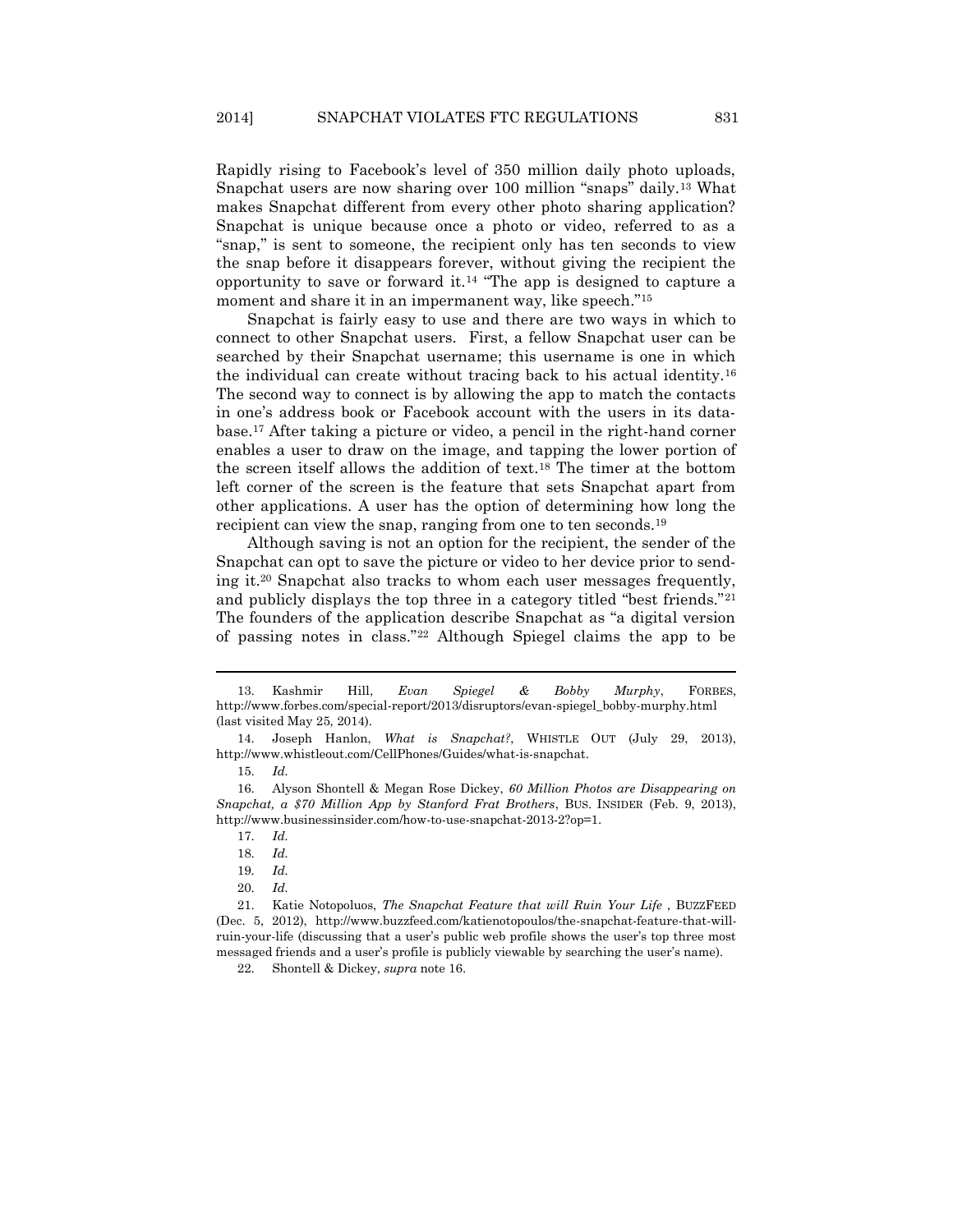Rapidly rising to Facebook's level of 350 million daily photo uploads, Snapchat users are now sharing over 100 million "snaps" daily.<sup>13</sup> What makes Snapchat different from every other photo sharing application? Snapchat is unique because once a photo or video, referred to as a "snap," is sent to someone, the recipient only has ten seconds to view the snap before it disappears forever, without giving the recipient the opportunity to save or forward it.<sup>14</sup> "The app is designed to capture a moment and share it in an impermanent way, like speech."<sup>15</sup>

<span id="page-5-0"></span>Snapchat is fairly easy to use and there are two ways in which to connect to other Snapchat users. First, a fellow Snapchat user can be searched by their Snapchat username; this username is one in which the individual can create without tracing back to his actual identity.<sup>16</sup> The second way to connect is by allowing the app to match the contacts in one's address book or Facebook account with the users in its database.<sup>17</sup> After taking a picture or video, a pencil in the right-hand corner enables a user to draw on the image, and tapping the lower portion of the screen itself allows the addition of text.<sup>18</sup> The timer at the bottom left corner of the screen is the feature that sets Snapchat apart from other applications. A user has the option of determining how long the recipient can view the snap, ranging from one to ten seconds.<sup>19</sup>

Although saving is not an option for the recipient, the sender of the Snapchat can opt to save the picture or video to her device prior to sending it.<sup>20</sup> Snapchat also tracks to whom each user messages frequently, and publicly displays the top three in a category titled "best friends."<sup>21</sup> The founders of the application describe Snapchat as "a digital version of passing notes in class."<sup>22</sup> Although Spiegel claims the app to be

- 19. *Id.*
- 20. *Id.*

<sup>13.</sup> Kashmir Hill, *Evan Spiegel & Bobby Murphy*, FORBES, http://www.forbes.com/special-report/2013/disruptors/evan-spiegel\_bobby-murphy.html (last visited May 25, 2014).

<sup>14.</sup> Joseph Hanlon, *What is Snapchat?*, WHISTLE OUT (July 29, 2013), http://www.whistleout.com/CellPhones/Guides/what-is-snapchat.

<sup>15.</sup> *Id.*

<sup>16.</sup> Alyson Shontell & Megan Rose Dickey, *60 Million Photos are Disappearing on Snapchat, a \$70 Million App by Stanford Frat Brothers*, BUS. INSIDER (Feb. 9, 2013), http://www.businessinsider.com/how-to-use-snapchat-2013-2?op=1.

<sup>17.</sup> *Id.*

<sup>18.</sup> *Id.*

<sup>21.</sup> Katie Notopoluos, *The Snapchat Feature that will Ruin Your Life* , BUZZFEED (Dec. 5, 2012), http://www.buzzfeed.com/katienotopoulos/the-snapchat-feature-that-willruin-your-life (discussing that a user's public web profile shows the user's top three most messaged friends and a user's profile is publicly viewable by searching the user's name).

<sup>22.</sup> Shontell & Dickey, *supra* not[e 16.](#page-5-0)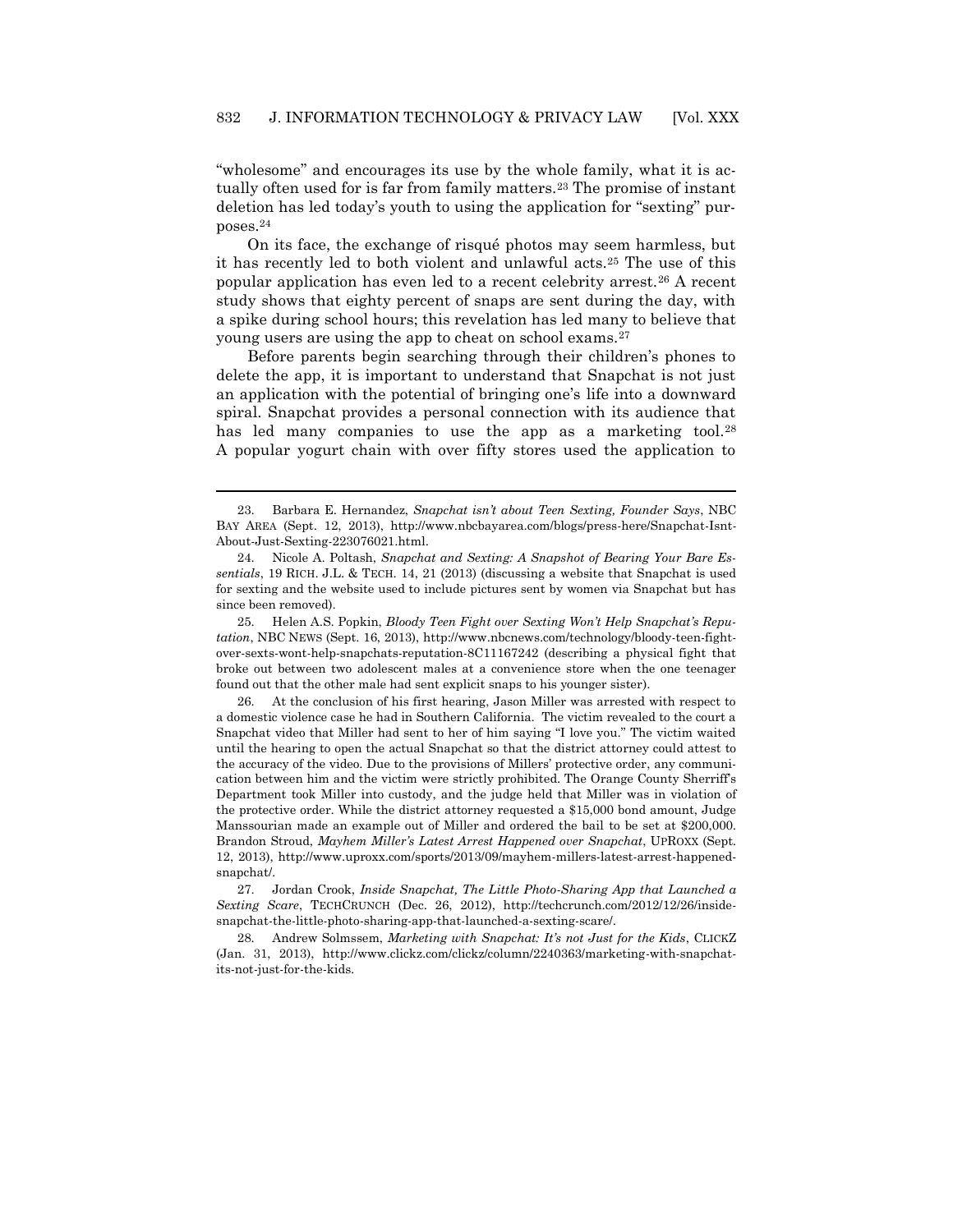"wholesome" and encourages its use by the whole family, what it is actually often used for is far from family matters.<sup>23</sup> The promise of instant deletion has led today's youth to using the application for "sexting" purposes.<sup>24</sup>

<span id="page-6-0"></span>On its face, the exchange of risqué photos may seem harmless, but it has recently led to both violent and unlawful acts.<sup>25</sup> The use of this popular application has even led to a recent celebrity arrest.<sup>26</sup> A recent study shows that eighty percent of snaps are sent during the day, with a spike during school hours; this revelation has led many to believe that young users are using the app to cheat on school exams.<sup>27</sup>

Before parents begin searching through their children's phones to delete the app, it is important to understand that Snapchat is not just an application with the potential of bringing one's life into a downward spiral. Snapchat provides a personal connection with its audience that has led many companies to use the app as a marketing tool.<sup>28</sup> A popular yogurt chain with over fifty stores used the application to

 $\overline{a}$ 

25. Helen A.S. Popkin, *Bloody Teen Fight over Sexting Won't Help Snapchat's Reputation*, NBC NEWS (Sept. 16, 2013), http://www.nbcnews.com/technology/bloody-teen-fightover-sexts-wont-help-snapchats-reputation-8C11167242 (describing a physical fight that broke out between two adolescent males at a convenience store when the one teenager found out that the other male had sent explicit snaps to his younger sister).

26. At the conclusion of his first hearing, Jason Miller was arrested with respect to a domestic violence case he had in Southern California. The victim revealed to the court a Snapchat video that Miller had sent to her of him saying "I love you." The victim waited until the hearing to open the actual Snapchat so that the district attorney could attest to the accuracy of the video. Due to the provisions of Millers' protective order, any communication between him and the victim were strictly prohibited. The Orange County Sherriff's Department took Miller into custody, and the judge held that Miller was in violation of the protective order. While the district attorney requested a \$15,000 bond amount, Judge Manssourian made an example out of Miller and ordered the bail to be set at \$200,000. Brandon Stroud, *Mayhem Miller's Latest Arrest Happened over Snapchat*, UPROXX (Sept. 12, 2013), http://www.uproxx.com/sports/2013/09/mayhem-millers-latest-arrest-happenedsnapchat/.

27. Jordan Crook, *Inside Snapchat, The Little Photo-Sharing App that Launched a Sexting Scare*, TECHCRUNCH (Dec. 26, 2012), http://techcrunch.com/2012/12/26/insidesnapchat-the-little-photo-sharing-app-that-launched-a-sexting-scare/.

28. Andrew Solmssem, *Marketing with Snapchat: It's not Just for the Kids*, CLICKZ (Jan. 31, 2013), http://www.clickz.com/clickz/column/2240363/marketing-with-snapchatits-not-just-for-the-kids.

<sup>23.</sup> Barbara E. Hernandez, *Snapchat isn't about Teen Sexting, Founder Says*, NBC BAY AREA (Sept. 12, 2013), http://www.nbcbayarea.com/blogs/press-here/Snapchat-Isnt-About-Just-Sexting-223076021.html.

<sup>24.</sup> Nicole A. Poltash, *Snapchat and Sexting: A Snapshot of Bearing Your Bare Essentials*, 19 RICH. J.L. & TECH. 14, 21 (2013) (discussing a website that Snapchat is used for sexting and the website used to include pictures sent by women via Snapchat but has since been removed).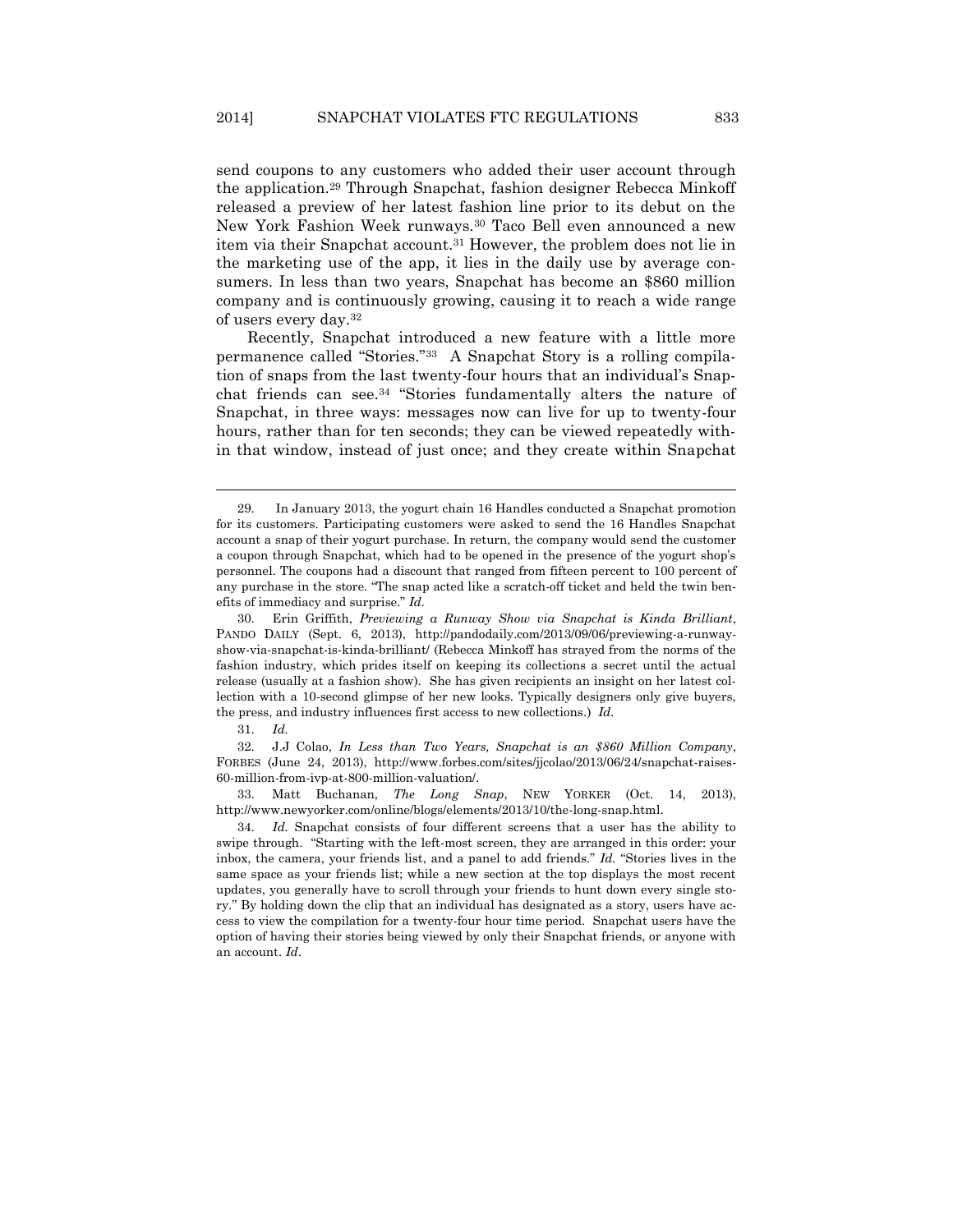send coupons to any customers who added their user account through the application.<sup>29</sup> Through Snapchat, fashion designer Rebecca Minkoff released a preview of her latest fashion line prior to its debut on the New York Fashion Week runways.<sup>30</sup> Taco Bell even announced a new item via their Snapchat account.<sup>31</sup> However, the problem does not lie in the marketing use of the app, it lies in the daily use by average consumers. In less than two years, Snapchat has become an \$860 million company and is continuously growing, causing it to reach a wide range of users every day.<sup>32</sup>

<span id="page-7-0"></span>Recently, Snapchat introduced a new feature with a little more permanence called "Stories."33 A Snapchat Story is a rolling compilation of snaps from the last twenty-four hours that an individual's Snapchat friends can see.<sup>34</sup> "Stories fundamentally alters the nature of Snapchat, in three ways: messages now can live for up to twenty-four hours, rather than for ten seconds; they can be viewed repeatedly within that window, instead of just once; and they create within Snapchat

 $\overline{a}$ 

33. Matt Buchanan, *The Long Snap*, NEW YORKER (Oct. 14, 2013), http://www.newyorker.com/online/blogs/elements/2013/10/the-long-snap.html.

<sup>29.</sup> In January 2013, the yogurt chain 16 Handles conducted a Snapchat promotion for its customers. Participating customers were asked to send the 16 Handles Snapchat account a snap of their yogurt purchase. In return, the company would send the customer a coupon through Snapchat, which had to be opened in the presence of the yogurt shop's personnel. The coupons had a discount that ranged from fifteen percent to 100 percent of any purchase in the store. "The snap acted like a scratch-off ticket and held the twin benefits of immediacy and surprise." *Id.* 

<sup>30.</sup> Erin Griffith, *Previewing a Runway Show via Snapchat is Kinda Brilliant*, PANDO DAILY (Sept. 6, 2013), http://pandodaily.com/2013/09/06/previewing-a-runwayshow-via-snapchat-is-kinda-brilliant/ (Rebecca Minkoff has strayed from the norms of the fashion industry, which prides itself on keeping its collections a secret until the actual release (usually at a fashion show). She has given recipients an insight on her latest collection with a 10-second glimpse of her new looks. Typically designers only give buyers, the press, and industry influences first access to new collections.) *Id.*

<sup>31.</sup> *Id.*

<sup>32.</sup> J.J Colao, *In Less than Two Years, Snapchat is an \$860 Million Company*, FORBES (June 24, 2013), http://www.forbes.com/sites/jjcolao/2013/06/24/snapchat-raises-60-million-from-ivp-at-800-million-valuation/.

<sup>34.</sup> *Id.* Snapchat consists of four different screens that a user has the ability to swipe through. "Starting with the left-most screen, they are arranged in this order: your inbox, the camera, your friends list, and a panel to add friends." *Id.* "Stories lives in the same space as your friends list; while a new section at the top displays the most recent updates, you generally have to scroll through your friends to hunt down every single story." By holding down the clip that an individual has designated as a story, users have access to view the compilation for a twenty-four hour time period. Snapchat users have the option of having their stories being viewed by only their Snapchat friends, or anyone with an account. *Id*.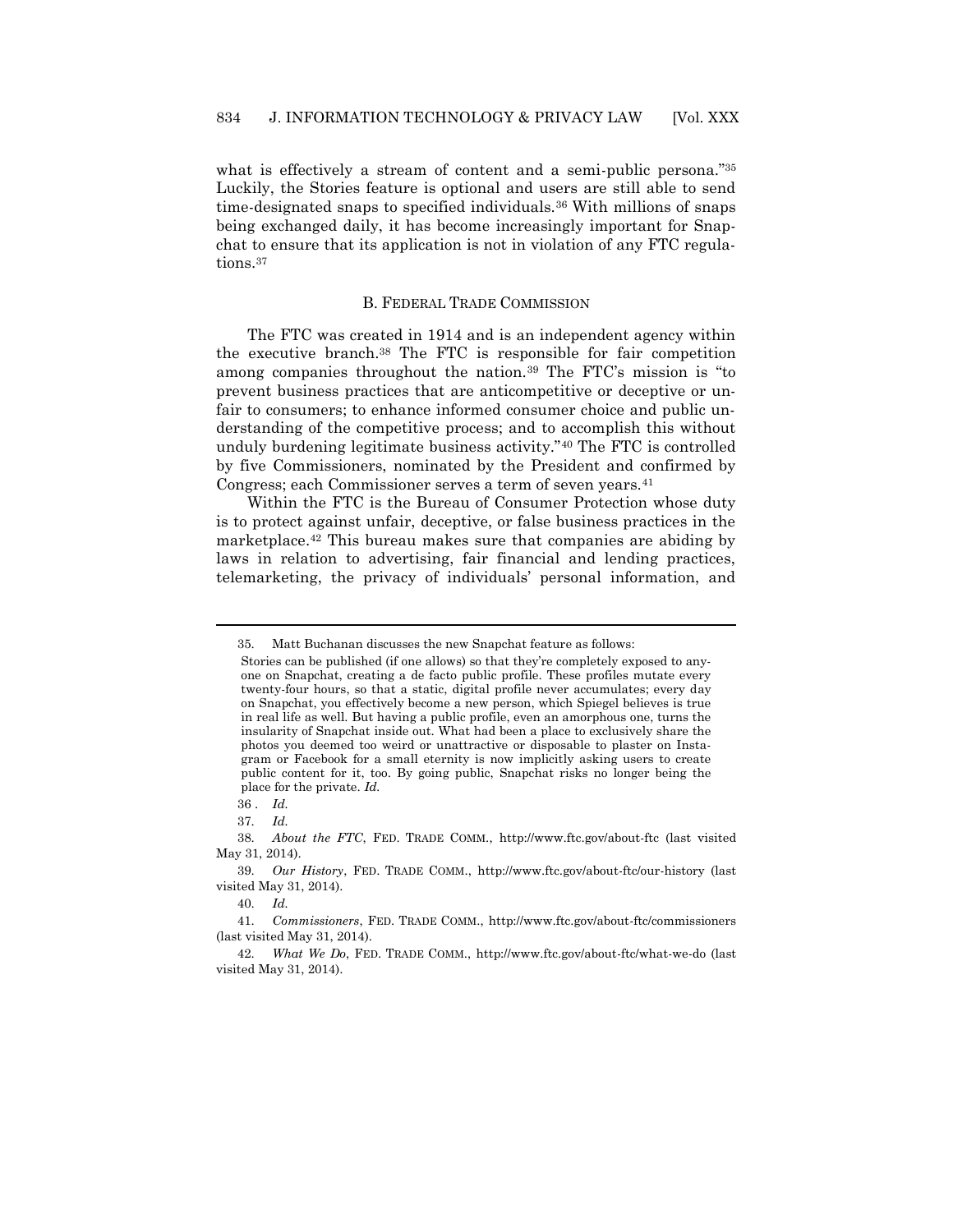what is effectively a stream of content and a semi-public persona."<sup>35</sup> Luckily, the Stories feature is optional and users are still able to send time-designated snaps to specified individuals.<sup>36</sup> With millions of snaps being exchanged daily, it has become increasingly important for Snapchat to ensure that its application is not in violation of any FTC regulations.<sup>37</sup>

#### B. FEDERAL TRADE COMMISSION

The FTC was created in 1914 and is an independent agency within the executive branch.<sup>38</sup> The FTC is responsible for fair competition among companies throughout the nation.<sup>39</sup> The FTC's mission is "to prevent business practices that are anticompetitive or deceptive or unfair to consumers; to enhance informed consumer choice and public understanding of the competitive process; and to accomplish this without unduly burdening legitimate business activity."<sup>40</sup> The FTC is controlled by five Commissioners, nominated by the President and confirmed by Congress; each Commissioner serves a term of seven years.<sup>41</sup>

Within the FTC is the Bureau of Consumer Protection whose duty is to protect against unfair, deceptive, or false business practices in the marketplace.<sup>42</sup> This bureau makes sure that companies are abiding by laws in relation to advertising, fair financial and lending practices, telemarketing, the privacy of individuals' personal information, and

<sup>35.</sup> Matt Buchanan discusses the new Snapchat feature as follows:

Stories can be published (if one allows) so that they're completely exposed to anyone on Snapchat, creating a de facto public profile. These profiles mutate every twenty-four hours, so that a static, digital profile never accumulates; every day on Snapchat, you effectively become a new person, which Spiegel believes is true in real life as well. But having a public profile, even an amorphous one, turns the insularity of Snapchat inside out. What had been a place to exclusively share the photos you deemed too weird or unattractive or disposable to plaster on Instagram or Facebook for a small eternity is now implicitly asking users to create public content for it, too. By going public, Snapchat risks no longer being the place for the private. *Id.*

<sup>36</sup> . *Id.*

<sup>37.</sup> *Id.*

<sup>38.</sup> *About the FTC*, FED. TRADE COMM., http://www.ftc.gov/about-ftc (last visited May 31, 2014).

<sup>39.</sup> *Our History*, FED. TRADE COMM., http://www.ftc.gov/about-ftc/our-history (last visited May 31, 2014).

<sup>40.</sup> *Id.*

<sup>41.</sup> *Commissioners*, FED. TRADE COMM., http://www.ftc.gov/about-ftc/commissioners (last visited May 31, 2014).

<sup>42.</sup> *What We Do*, FED. TRADE COMM., http://www.ftc.gov/about-ftc/what-we-do (last visited May 31, 2014).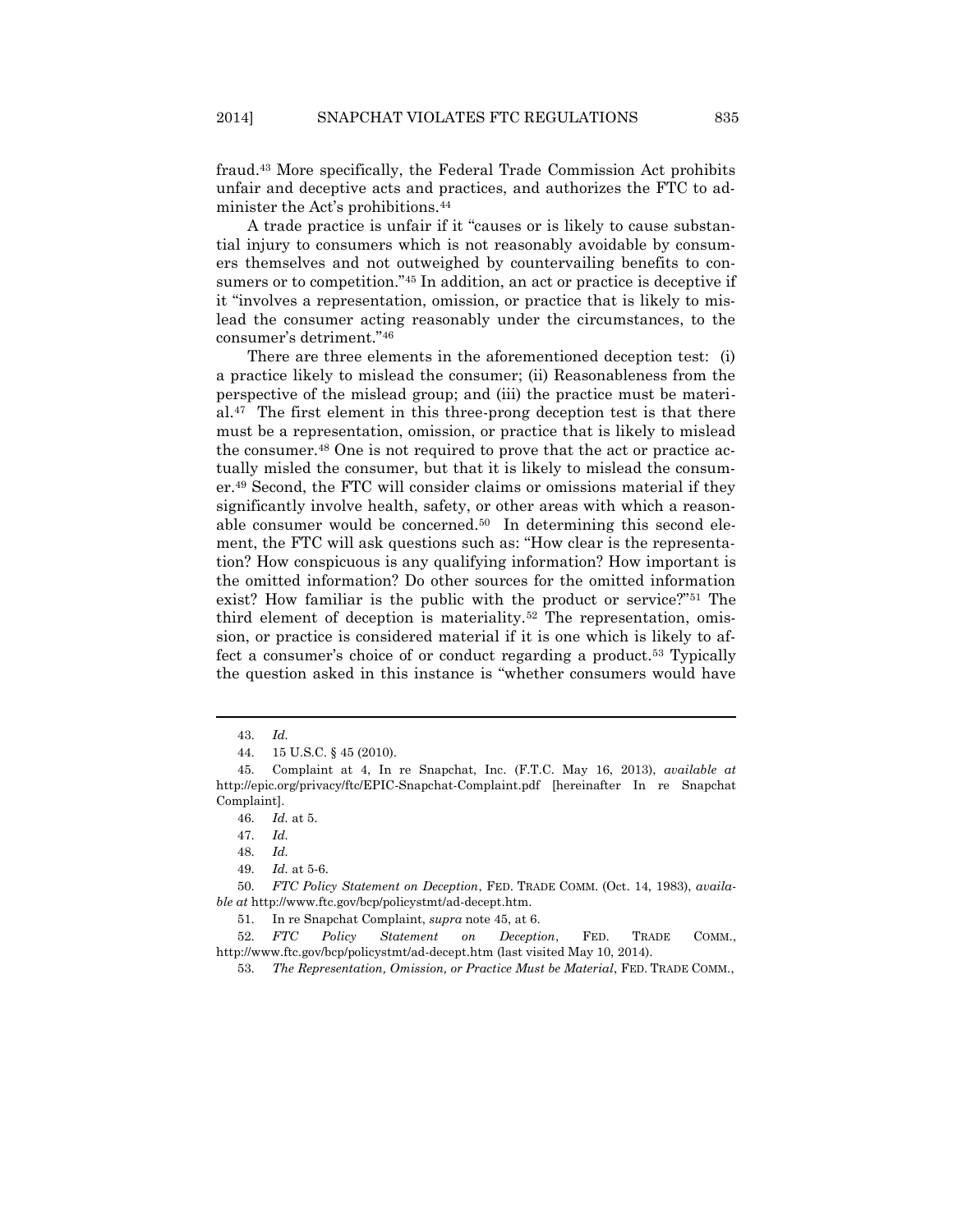fraud.<sup>43</sup> More specifically, the Federal Trade Commission Act prohibits unfair and deceptive acts and practices, and authorizes the FTC to administer the Act's prohibitions.<sup>44</sup>

<span id="page-9-0"></span>A trade practice is unfair if it "causes or is likely to cause substantial injury to consumers which is not reasonably avoidable by consumers themselves and not outweighed by countervailing benefits to consumers or to competition."<sup>45</sup> In addition, an act or practice is deceptive if it "involves a representation, omission, or practice that is likely to mislead the consumer acting reasonably under the circumstances, to the consumer's detriment."<sup>46</sup>

There are three elements in the aforementioned deception test: (i) a practice likely to mislead the consumer; (ii) Reasonableness from the perspective of the mislead group; and (iii) the practice must be materi $al^{47}$ . The first element in this three-prong deception test is that there must be a representation, omission, or practice that is likely to mislead the consumer.<sup>48</sup> One is not required to prove that the act or practice actually misled the consumer, but that it is likely to mislead the consumer.<sup>49</sup> Second, the FTC will consider claims or omissions material if they significantly involve health, safety, or other areas with which a reasonable consumer would be concerned.50 In determining this second element, the FTC will ask questions such as: "How clear is the representation? How conspicuous is any qualifying information? How important is the omitted information? Do other sources for the omitted information exist? How familiar is the public with the product or service?"<sup>51</sup> The third element of deception is materiality.<sup>52</sup> The representation, omission, or practice is considered material if it is one which is likely to affect a consumer's choice of or conduct regarding a product.<sup>53</sup> Typically the question asked in this instance is "whether consumers would have

 $\overline{a}$ 

49. *Id.* at 5-6.

<sup>43.</sup> *Id.*

<sup>44.</sup> 15 U.S.C. § 45 (2010).

<sup>45.</sup> Complaint at 4, In re Snapchat, Inc. (F.T.C. May 16, 2013), *available at* http://epic.org/privacy/ftc/EPIC-Snapchat-Complaint.pdf [hereinafter In re Snapchat Complaint].

<sup>46.</sup> *Id.* at 5.

<sup>47.</sup> *Id.*

<sup>48.</sup> *Id.*

<sup>50.</sup> *FTC Policy Statement on Deception*, FED. TRADE COMM. (Oct. 14, 1983), *available at* http://www.ftc.gov/bcp/policystmt/ad-decept.htm.

<sup>51.</sup> In re Snapchat Complaint, *supra* not[e 45,](#page-9-0) at 6.

<sup>52.</sup> *FTC Policy Statement on Deception*, FED. TRADE COMM., http://www.ftc.gov/bcp/policystmt/ad-decept.htm (last visited May 10, 2014).

<sup>53.</sup> *The Representation, Omission, or Practice Must be Material*, FED. TRADE COMM.,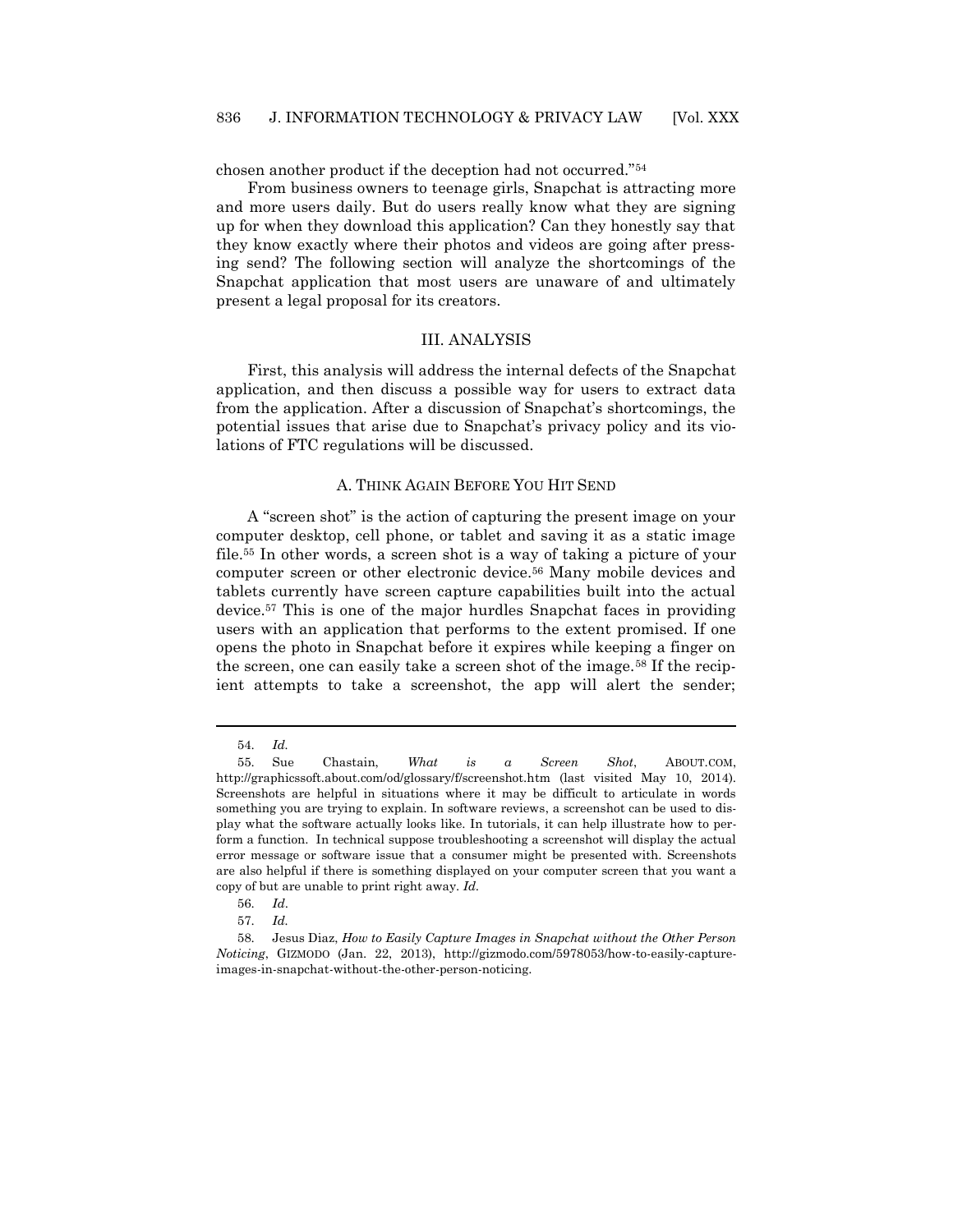chosen another product if the deception had not occurred."<sup>54</sup>

From business owners to teenage girls, Snapchat is attracting more and more users daily. But do users really know what they are signing up for when they download this application? Can they honestly say that they know exactly where their photos and videos are going after pressing send? The following section will analyze the shortcomings of the Snapchat application that most users are unaware of and ultimately present a legal proposal for its creators.

#### III. ANALYSIS

First, this analysis will address the internal defects of the Snapchat application, and then discuss a possible way for users to extract data from the application. After a discussion of Snapchat's shortcomings, the potential issues that arise due to Snapchat's privacy policy and its violations of FTC regulations will be discussed.

## A. THINK AGAIN BEFORE YOU HIT SEND

A "screen shot" is the action of capturing the present image on your computer desktop, cell phone, or tablet and saving it as a static image file.<sup>55</sup> In other words, a screen shot is a way of taking a picture of your computer screen or other electronic device.<sup>56</sup> Many mobile devices and tablets currently have screen capture capabilities built into the actual device.<sup>57</sup> This is one of the major hurdles Snapchat faces in providing users with an application that performs to the extent promised. If one opens the photo in Snapchat before it expires while keeping a finger on the screen, one can easily take a screen shot of the image.<sup>58</sup> If the recipient attempts to take a screenshot, the app will alert the sender;

<sup>54.</sup> *Id.*

<sup>55.</sup> Sue Chastain, *What is a Screen Shot*, ABOUT.COM, http://graphicssoft.about.com/od/glossary/f/screenshot.htm (last visited May 10, 2014). Screenshots are helpful in situations where it may be difficult to articulate in words something you are trying to explain. In software reviews, a screenshot can be used to display what the software actually looks like. In tutorials, it can help illustrate how to perform a function. In technical suppose troubleshooting a screenshot will display the actual error message or software issue that a consumer might be presented with. Screenshots are also helpful if there is something displayed on your computer screen that you want a copy of but are unable to print right away. *Id*.

<sup>56.</sup> *Id*.

<sup>57.</sup> *Id.*

<sup>58.</sup> Jesus Diaz, *How to Easily Capture Images in Snapchat without the Other Person Noticing*, GIZMODO (Jan. 22, 2013), http://gizmodo.com/5978053/how-to-easily-captureimages-in-snapchat-without-the-other-person-noticing.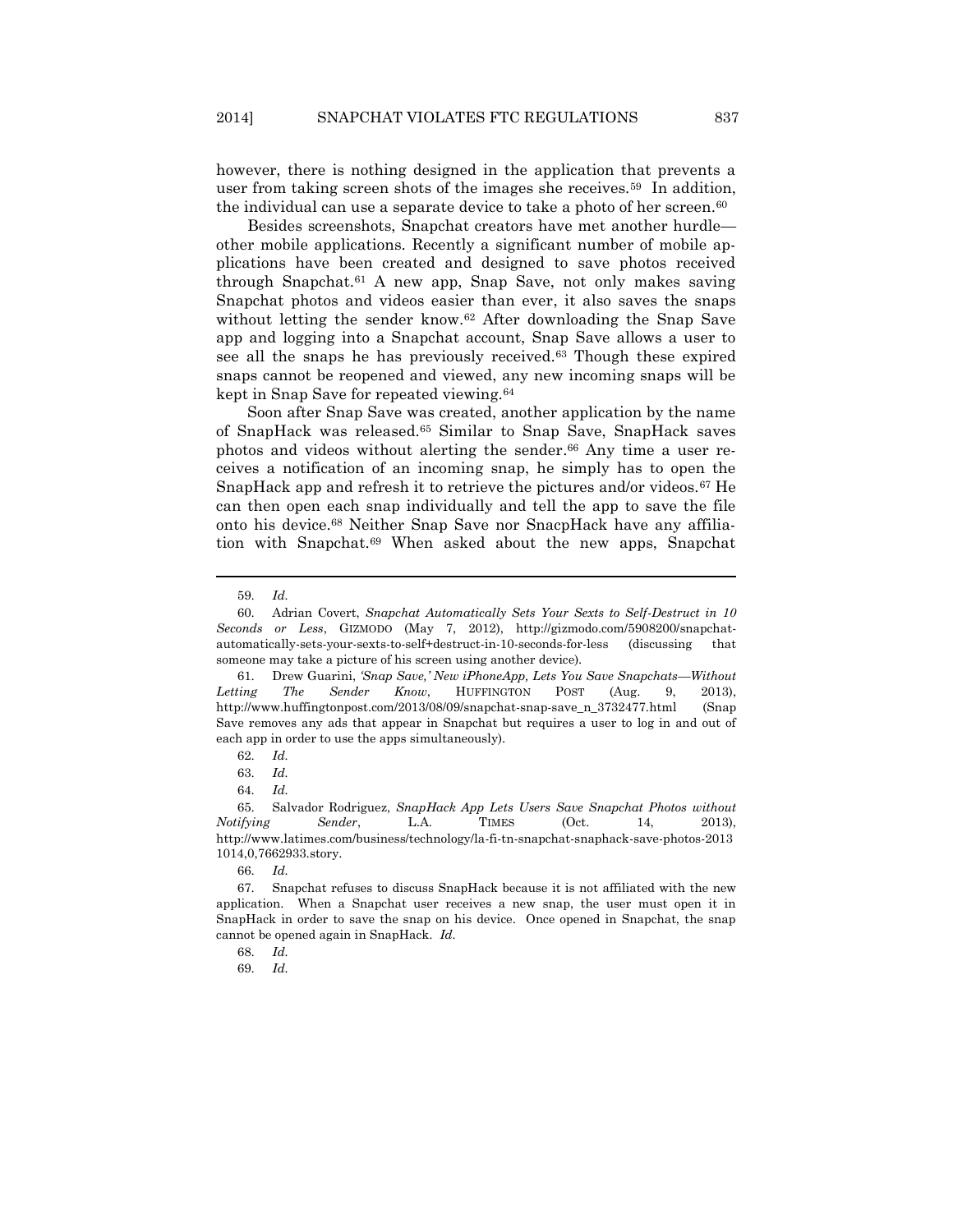however, there is nothing designed in the application that prevents a user from taking screen shots of the images she receives.59 In addition, the individual can use a separate device to take a photo of her screen.<sup>60</sup>

Besides screenshots, Snapchat creators have met another hurdle other mobile applications. Recently a significant number of mobile applications have been created and designed to save photos received through Snapchat.<sup>61</sup> A new app, Snap Save, not only makes saving Snapchat photos and videos easier than ever, it also saves the snaps without letting the sender know.<sup>62</sup> After downloading the Snap Save app and logging into a Snapchat account, Snap Save allows a user to see all the snaps he has previously received.<sup>63</sup> Though these expired snaps cannot be reopened and viewed, any new incoming snaps will be kept in Snap Save for repeated viewing.<sup>64</sup>

Soon after Snap Save was created, another application by the name of SnapHack was released.<sup>65</sup> Similar to Snap Save, SnapHack saves photos and videos without alerting the sender. <sup>66</sup> Any time a user receives a notification of an incoming snap, he simply has to open the SnapHack app and refresh it to retrieve the pictures and/or videos.<sup>67</sup> He can then open each snap individually and tell the app to save the file onto his device.<sup>68</sup> Neither Snap Save nor SnacpHack have any affiliation with Snapchat.<sup>69</sup> When asked about the new apps, Snapchat

<sup>59.</sup> *Id.*

<sup>60.</sup> Adrian Covert, *Snapchat Automatically Sets Your Sexts to Self-Destruct in 10 Seconds or Less*, GIZMODO (May 7, 2012), http://gizmodo.com/5908200/snapchatautomatically-sets-your-sexts-to-self+destruct-in-10-seconds-for-less (discussing that someone may take a picture of his screen using another device).

<sup>61.</sup> Drew Guarini, *'Snap Save,' New iPhoneApp, Lets You Save Snapchats—Without Letting The Sender Know*, HUFFINGTON POST (Aug. 9, 2013), http://www.huffingtonpost.com/2013/08/09/snapchat-snap-save\_n\_3732477.html (Snap Save removes any ads that appear in Snapchat but requires a user to log in and out of each app in order to use the apps simultaneously).

<sup>62.</sup> *Id.*

<sup>63.</sup> *Id.*

<sup>64.</sup> *Id.*

<sup>65.</sup> Salvador Rodriguez, *SnapHack App Lets Users Save Snapchat Photos without Notifying Sender*, L.A. TIMES (Oct. 14, 2013), http://www.latimes.com/business/technology/la-fi-tn-snapchat-snaphack-save-photos-2013 1014,0,7662933.story.

<sup>66.</sup> *Id.*

<sup>67.</sup> Snapchat refuses to discuss SnapHack because it is not affiliated with the new application. When a Snapchat user receives a new snap, the user must open it in SnapHack in order to save the snap on his device. Once opened in Snapchat, the snap cannot be opened again in SnapHack. *Id.*

<sup>68.</sup> *Id.*

<sup>69.</sup> *Id.*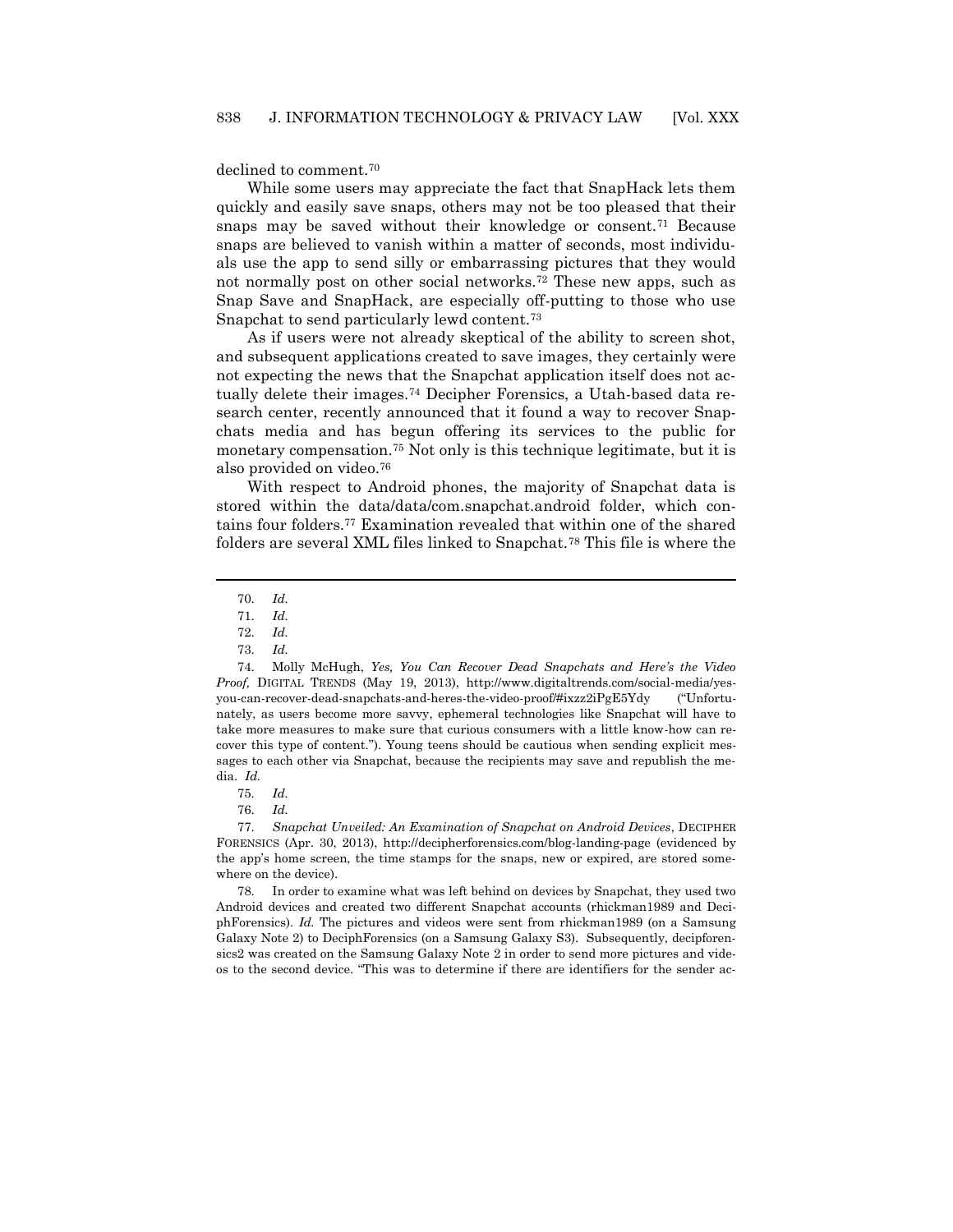declined to comment.<sup>70</sup>

While some users may appreciate the fact that SnapHack lets them quickly and easily save snaps, others may not be too pleased that their snaps may be saved without their knowledge or consent.<sup>71</sup> Because snaps are believed to vanish within a matter of seconds, most individuals use the app to send silly or embarrassing pictures that they would not normally post on other social networks.<sup>72</sup> These new apps, such as Snap Save and SnapHack, are especially off-putting to those who use Snapchat to send particularly lewd content.<sup>73</sup>

<span id="page-12-0"></span>As if users were not already skeptical of the ability to screen shot, and subsequent applications created to save images, they certainly were not expecting the news that the Snapchat application itself does not actually delete their images.<sup>74</sup> Decipher Forensics, a Utah-based data research center, recently announced that it found a way to recover Snapchats media and has begun offering its services to the public for monetary compensation.<sup>75</sup> Not only is this technique legitimate, but it is also provided on video.<sup>76</sup>

With respect to Android phones, the majority of Snapchat data is stored within the data/data/com.snapchat.android folder, which contains four folders.<sup>77</sup> Examination revealed that within one of the shared folders are several XML files linked to Snapchat.<sup>78</sup> This file is where the

 $\overline{a}$ 

77. *Snapchat Unveiled: An Examination of Snapchat on Android Devices*, DECIPHER FORENSICS (Apr. 30, 2013), http://decipherforensics.com/blog-landing-page (evidenced by the app's home screen, the time stamps for the snaps, new or expired, are stored somewhere on the device).

78. In order to examine what was left behind on devices by Snapchat, they used two Android devices and created two different Snapchat accounts (rhickman1989 and DeciphForensics). *Id.* The pictures and videos were sent from rhickman1989 (on a Samsung Galaxy Note 2) to DeciphForensics (on a Samsung Galaxy S3). Subsequently, decipforensics2 was created on the Samsung Galaxy Note 2 in order to send more pictures and videos to the second device. "This was to determine if there are identifiers for the sender ac-

<sup>70.</sup> *Id.*

<sup>71.</sup> *Id.*

<sup>72.</sup> *Id.*

<sup>73.</sup> *Id.*

<sup>74.</sup> Molly McHugh, *Yes, You Can Recover Dead Snapchats and Here's the Video Proof,* DIGITAL TRENDS (May 19, 2013), http://www.digitaltrends.com/social-media/yesyou-can-recover-dead-snapchats-and-heres-the-video-proof/#ixzz2iPgE5Ydy ("Unfortunately, as users become more savvy, ephemeral technologies like Snapchat will have to take more measures to make sure that curious consumers with a little know-how can recover this type of content."). Young teens should be cautious when sending explicit messages to each other via Snapchat, because the recipients may save and republish the media. *Id.*

<sup>75.</sup> *Id.*

<sup>76.</sup> *Id.*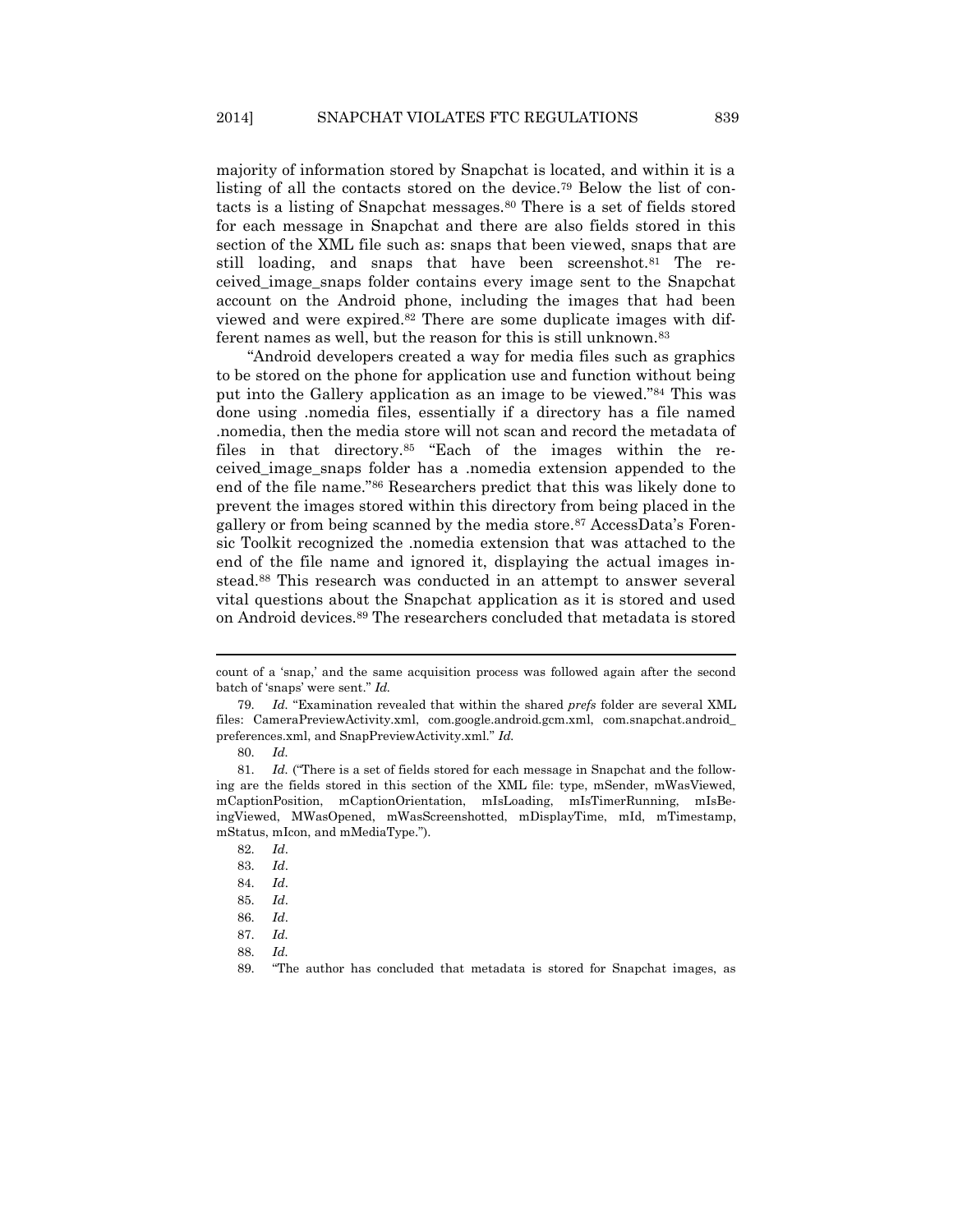majority of information stored by Snapchat is located, and within it is a listing of all the contacts stored on the device.<sup>79</sup> Below the list of contacts is a listing of Snapchat messages.<sup>80</sup> There is a set of fields stored for each message in Snapchat and there are also fields stored in this section of the XML file such as: snaps that been viewed, snaps that are still loading, and snaps that have been screenshot.<sup>81</sup> The received\_image\_snaps folder contains every image sent to the Snapchat account on the Android phone, including the images that had been viewed and were expired.<sup>82</sup> There are some duplicate images with different names as well, but the reason for this is still unknown.<sup>83</sup>

"Android developers created a way for media files such as graphics to be stored on the phone for application use and function without being put into the Gallery application as an image to be viewed."<sup>84</sup> This was done using .nomedia files, essentially if a directory has a file named .nomedia, then the media store will not scan and record the metadata of files in that directory.<sup>85</sup> "Each of the images within the received\_image\_snaps folder has a .nomedia extension appended to the end of the file name."<sup>86</sup> Researchers predict that this was likely done to prevent the images stored within this directory from being placed in the gallery or from being scanned by the media store.<sup>87</sup> AccessData's Forensic Toolkit recognized the .nomedia extension that was attached to the end of the file name and ignored it, displaying the actual images instead.<sup>88</sup> This research was conducted in an attempt to answer several vital questions about the Snapchat application as it is stored and used on Android devices.<sup>89</sup> The researchers concluded that metadata is stored

count of a 'snap,' and the same acquisition process was followed again after the second batch of 'snaps' were sent." *Id.*

<sup>79.</sup> *Id.* "Examination revealed that within the shared *prefs* folder are several XML files: CameraPreviewActivity.xml, com.google.android.gcm.xml, com.snapchat.android\_ preferences.xml, and SnapPreviewActivity.xml." *Id.*

<sup>80.</sup> *Id.*

<sup>81.</sup> *Id.* ("There is a set of fields stored for each message in Snapchat and the following are the fields stored in this section of the XML file: type, mSender, mWasViewed, mCaptionPosition, mCaptionOrientation, mIsLoading, mIsTimerRunning, mIsBeingViewed, MWasOpened, mWasScreenshotted, mDisplayTime, mId, mTimestamp, mStatus, mIcon, and mMediaType.").

<sup>82.</sup> *Id*.

<sup>83.</sup> *Id*.

<sup>84.</sup> *Id*.

<sup>85.</sup> *Id*.

<sup>86.</sup> *Id*.

<sup>87.</sup> *Id.*

<sup>88.</sup> *Id.*

<sup>89.</sup> "The author has concluded that metadata is stored for Snapchat images, as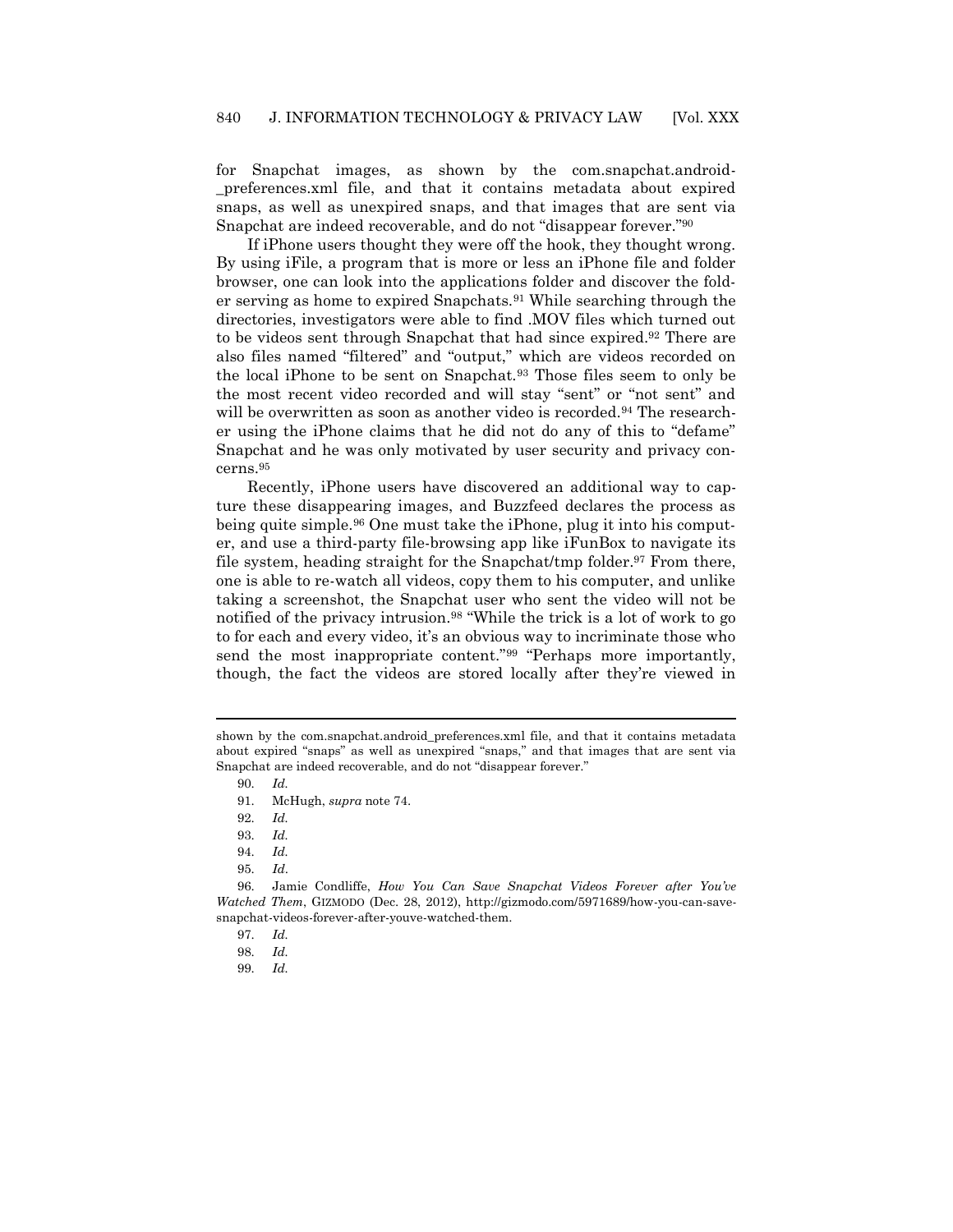for Snapchat images, as shown by the com.snapchat.android- \_preferences.xml file, and that it contains metadata about expired snaps, as well as unexpired snaps, and that images that are sent via Snapchat are indeed recoverable, and do not "disappear forever."<sup>90</sup>

If iPhone users thought they were off the hook, they thought wrong. By using iFile, a program that is more or less an iPhone file and folder browser, one can look into the applications folder and discover the folder serving as home to expired Snapchats.<sup>91</sup> While searching through the directories, investigators were able to find .MOV files which turned out to be videos sent through Snapchat that had since expired.<sup>92</sup> There are also files named "filtered" and "output," which are videos recorded on the local iPhone to be sent on Snapchat.<sup>93</sup> Those files seem to only be the most recent video recorded and will stay "sent" or "not sent" and will be overwritten as soon as another video is recorded.<sup>94</sup> The researcher using the iPhone claims that he did not do any of this to "defame" Snapchat and he was only motivated by user security and privacy concerns.<sup>95</sup>

Recently, iPhone users have discovered an additional way to capture these disappearing images, and Buzzfeed declares the process as being quite simple.<sup>96</sup> One must take the iPhone, plug it into his computer, and use a third-party file-browsing app like iFunBox to navigate its file system, heading straight for the Snapchat/tmp folder.<sup>97</sup> From there, one is able to re-watch all videos, copy them to his computer, and unlike taking a screenshot, the Snapchat user who sent the video will not be notified of the privacy intrusion.<sup>98</sup> "While the trick is a lot of work to go to for each and every video, it's an obvious way to incriminate those who send the most inappropriate content."<sup>99</sup> "Perhaps more importantly, though, the fact the videos are stored locally after they're viewed in

shown by the com.snapchat.android preferences.xml file, and that it contains metadata about expired "snaps" as well as unexpired "snaps," and that images that are sent via Snapchat are indeed recoverable, and do not "disappear forever."

<sup>90.</sup> *Id.*

<sup>91.</sup> McHugh, *supra* note [74.](#page-12-0)

<sup>92.</sup> *Id.*

<sup>93.</sup> *Id.*

<sup>94.</sup> *Id.*

<sup>95.</sup> *Id*.

<sup>96.</sup> Jamie Condliffe, *How You Can Save Snapchat Videos Forever after You've Watched Them*, GIZMODO (Dec. 28, 2012), http://gizmodo.com/5971689/how-you-can-savesnapchat-videos-forever-after-youve-watched-them.

<sup>97.</sup> *Id.*

<sup>98.</sup> *Id.*

<sup>99.</sup> *Id.*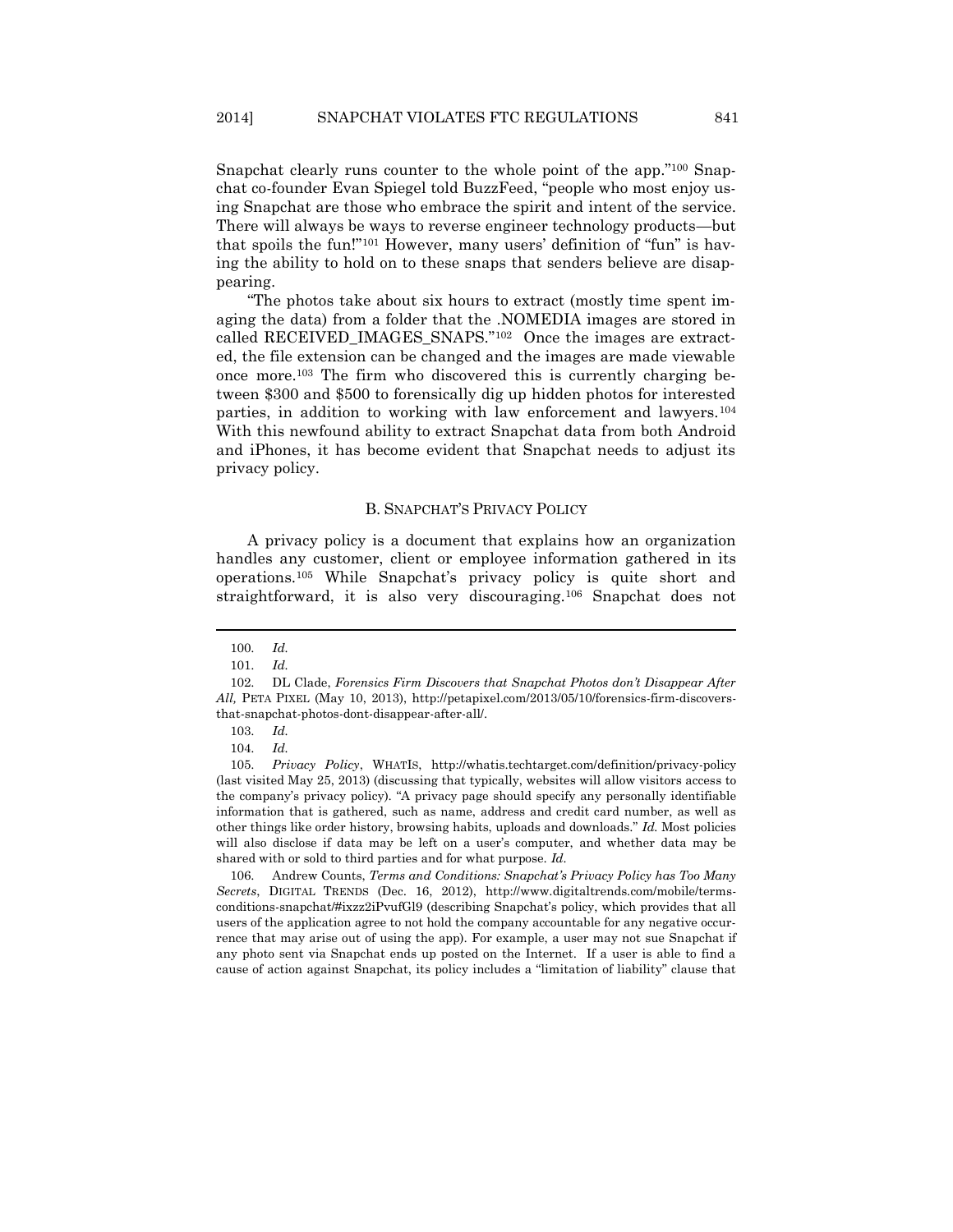Snapchat clearly runs counter to the whole point of the app."<sup>100</sup> Snapchat co-founder [Evan Spiegel told BuzzFeed](http://www.buzzfeed.com/katienotopoulos/how-anybody-can-secretly-save-your-snapchat-videos), "people who most enjoy using Snapchat are those who embrace the spirit and intent of the service. There will always be ways to reverse engineer technology products—but that spoils the fun!"<sup>101</sup> However, many users' definition of "fun" is having the ability to hold on to these snaps that senders believe are disappearing.

"The photos take about six hours to extract (mostly time spent imaging the data) from a folder that the .NOMEDIA images are stored in called RECEIVED\_IMAGES\_SNAPS."102 Once the images are extracted, the file extension can be changed and the images are made viewable once more.<sup>103</sup> The firm who discovered this is currently charging between \$300 and \$500 to forensically dig up hidden photos for interested parties, in addition to working with law enforcement and lawyers.<sup>104</sup> With this newfound ability to extract Snapchat data from both Android and iPhones, it has become evident that Snapchat needs to adjust its privacy policy.

#### B. SNAPCHAT'S PRIVACY POLICY

A privacy policy is a document that explains how an organization handles any customer, client or employee information gathered in its operations.<sup>105</sup> While Snapchat's privacy policy is quite short and straightforward, it is also very discouraging.<sup>106</sup> Snapchat does not

 $\overline{a}$ 

106. Andrew Counts, *Terms and Conditions: Snapchat's Privacy Policy has Too Many Secrets*, DIGITAL TRENDS (Dec. 16, 2012), http://www.digitaltrends.com/mobile/termsconditions-snapchat/#ixzz2iPvufGl9 (describing Snapchat's policy, which provides that all users of the application agree to not hold the company accountable for any negative occurrence that may arise out of using the app). For example, a user may not sue Snapchat if any photo sent via Snapchat ends up posted on the Internet. If a user is able to find a cause of action against Snapchat, its policy includes a "limitation of liability" clause that

<sup>100.</sup> *Id.*

<sup>101.</sup> *Id.*

<sup>102.</sup> DL Clade, *Forensics Firm Discovers that Snapchat Photos don't Disappear After All,* PETA PIXEL (May 10, 2013), http://petapixel.com/2013/05/10/forensics-firm-discoversthat-snapchat-photos-dont-disappear-after-all/.

<sup>103.</sup> *Id.*

<sup>104.</sup> *Id.*

<sup>105.</sup> *Privacy Policy*, WHATIS, http://whatis.techtarget.com/definition/privacy-policy (last visited May 25, 2013) (discussing that typically, websites will allow visitors access to the company's privacy policy). "A privacy page should specify any personally identifiable information that is gathered, such as name, address and credit card number, as well as other things like order history, browsing habits, uploads and downloads." *Id.* Most policies will also disclose if data may be left on a user's computer, and whether data may be shared with or sold to third parties and for what purpose. *Id.*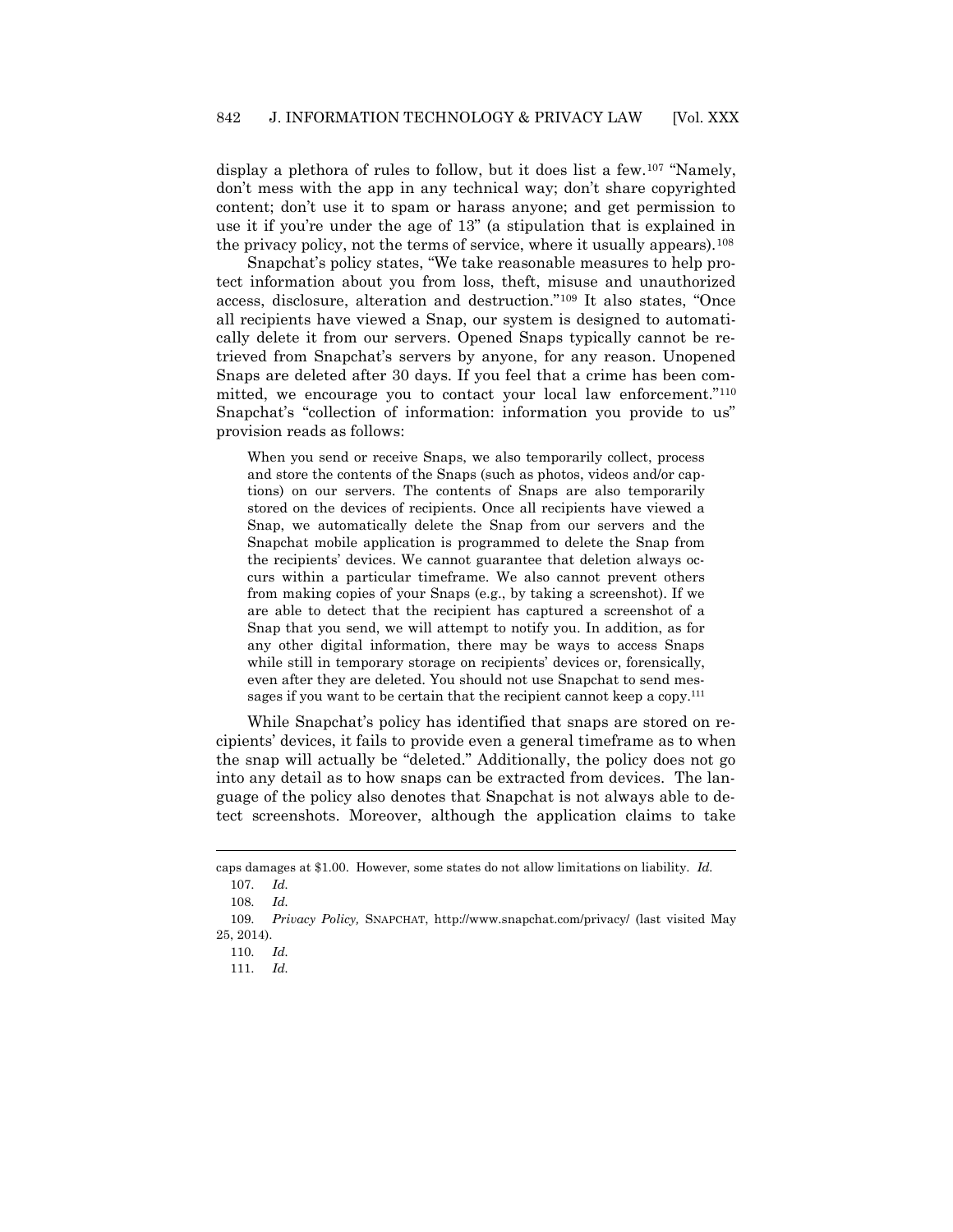display a plethora of rules to follow, but it does list a few.<sup>107</sup> "Namely, don't mess with the app in any technical way; don't share copyrighted content; don't use it to spam or harass anyone; and get permission to use it if you're under the age of 13" (a stipulation that is explained in the privacy policy, not the terms of service, where it usually appears).<sup>108</sup>

Snapchat's policy states, "We take reasonable measures to help protect information about you from loss, theft, misuse and unauthorized access, disclosure, alteration and destruction."<sup>109</sup> It also states, "Once all recipients have viewed a Snap, our system is designed to automatically delete it from our servers. Opened Snaps typically cannot be retrieved from Snapchat's servers by anyone, for any reason. Unopened Snaps are deleted after 30 days. If you feel that a crime has been committed, we encourage you to contact your local law enforcement."<sup>110</sup> Snapchat's "collection of information: information you provide to us" provision reads as follows:

When you send or receive Snaps, we also temporarily collect, process and store the contents of the Snaps (such as photos, videos and/or captions) on our servers. The contents of Snaps are also temporarily stored on the devices of recipients. Once all recipients have viewed a Snap, we automatically delete the Snap from our servers and the Snapchat mobile application is programmed to delete the Snap from the recipients' devices. We cannot guarantee that deletion always occurs within a particular timeframe. We also cannot prevent others from making copies of your Snaps (e.g., by taking a screenshot). If we are able to detect that the recipient has captured a screenshot of a Snap that you send, we will attempt to notify you. In addition, as for any other digital information, there may be ways to access Snaps while still in temporary storage on recipients' devices or, forensically, even after they are deleted. You should not use Snapchat to send messages if you want to be certain that the recipient cannot keep a copy.<sup>111</sup>

While Snapchat's policy has identified that snaps are stored on recipients' devices, it fails to provide even a general timeframe as to when the snap will actually be "deleted." Additionally, the policy does not go into any detail as to how snaps can be extracted from devices. The language of the policy also denotes that Snapchat is not always able to detect screenshots. Moreover, although the application claims to take

caps damages at \$1.00. However, some states do not allow limitations on liability. *Id.* 107. *Id.*

<sup>108.</sup> *Id.*

<sup>109.</sup> *Privacy Policy,* SNAPCHAT, http://www.snapchat.com/privacy/ (last visited May 25, 2014).

<sup>110.</sup> *Id.*

<sup>111.</sup> *Id.*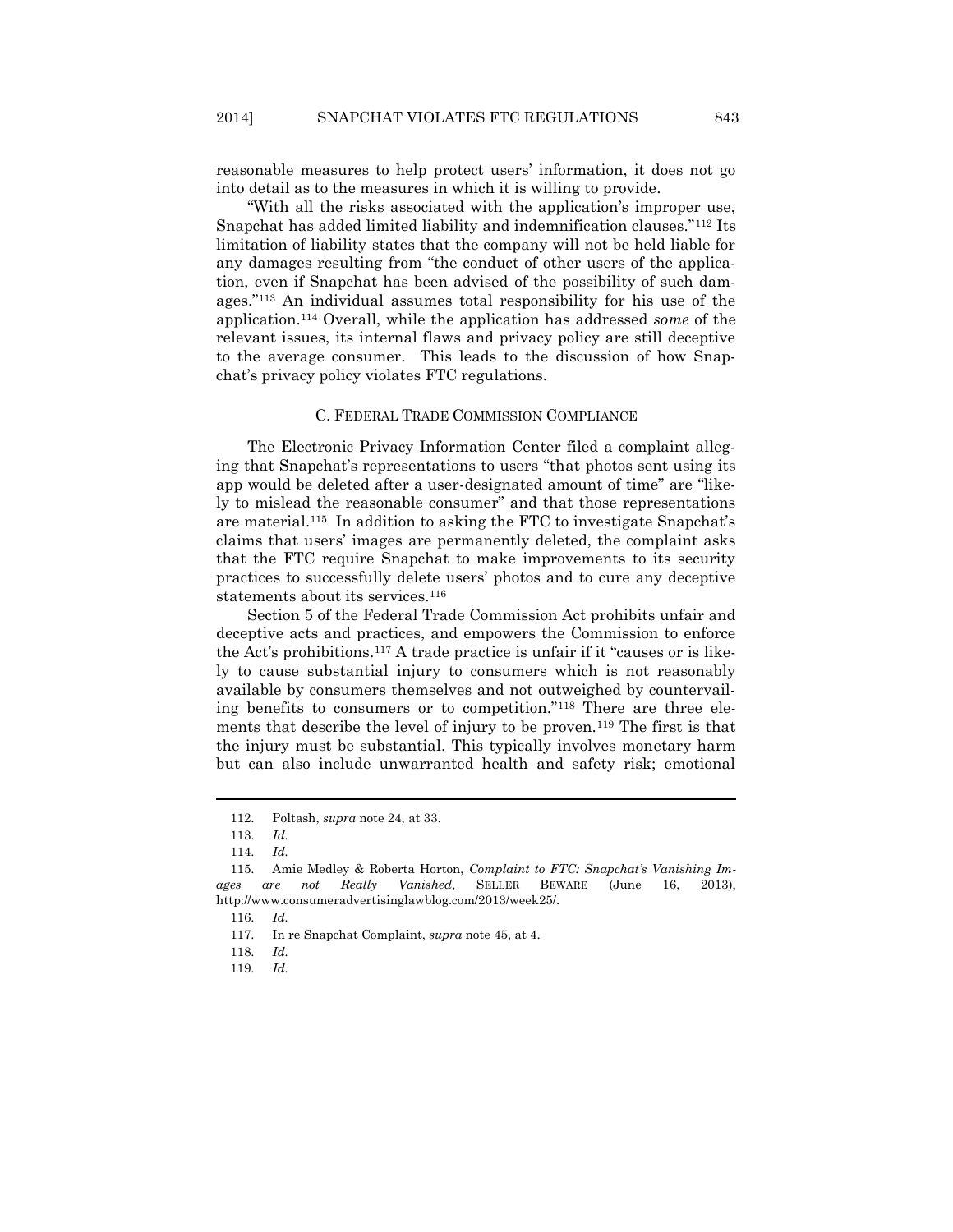reasonable measures to help protect users' information, it does not go into detail as to the measures in which it is willing to provide.

"With all the risks associated with the application's improper use, Snapchat has added limited liability and indemnification clauses."<sup>112</sup> Its limitation of liability states that the company will not be held liable for any damages resulting from "the conduct of other users of the application, even if Snapchat has been advised of the possibility of such damages." <sup>113</sup> An individual assumes total responsibility for his use of the application.<sup>114</sup> Overall, while the application has addressed *some* of the relevant issues, its internal flaws and privacy policy are still deceptive to the average consumer. This leads to the discussion of how Snapchat's privacy policy violates FTC regulations.

#### C. FEDERAL TRADE COMMISSION COMPLIANCE

The Electronic Privacy Information Center filed a complaint alleging that Snapchat's representations to users "that photos sent using its app would be deleted after a user-designated amount of time" are "likely to mislead the reasonable consumer" and that those representations are material.<sup>115</sup> In addition to asking the FTC to investigate Snapchat's claims that users' images are permanently deleted, the complaint asks that the FTC require Snapchat to make improvements to its security practices to successfully delete users' photos and to cure any deceptive statements about its services.<sup>116</sup>

Section 5 of the Federal Trade Commission Act prohibits unfair and deceptive acts and practices, and empowers the Commission to enforce the Act's prohibitions.<sup>117</sup> A trade practice is unfair if it "causes or is likely to cause substantial injury to consumers which is not reasonably available by consumers themselves and not outweighed by countervailing benefits to consumers or to competition."<sup>118</sup> There are three elements that describe the level of injury to be proven.<sup>119</sup> The first is that the injury must be substantial. This typically involves monetary harm but can also include unwarranted health and safety risk; emotional

<sup>112.</sup> Poltash, *supra* note [24,](#page-6-0) at 33.

<sup>113.</sup> *Id.*

<sup>114.</sup> *Id.*

<sup>115.</sup> Amie Medley & Roberta Horton, *Complaint to FTC: Snapchat's Vanishing Images are not Really Vanished*, SELLER BEWARE (June 16, 2013), http://www.consumeradvertisinglawblog.com/2013/week25/.

<sup>116.</sup> *Id.*

<sup>117.</sup> In re Snapchat Complaint, *supra* not[e 45,](#page-9-0) at 4.

<sup>118.</sup> *Id.*

<sup>119.</sup> *Id.*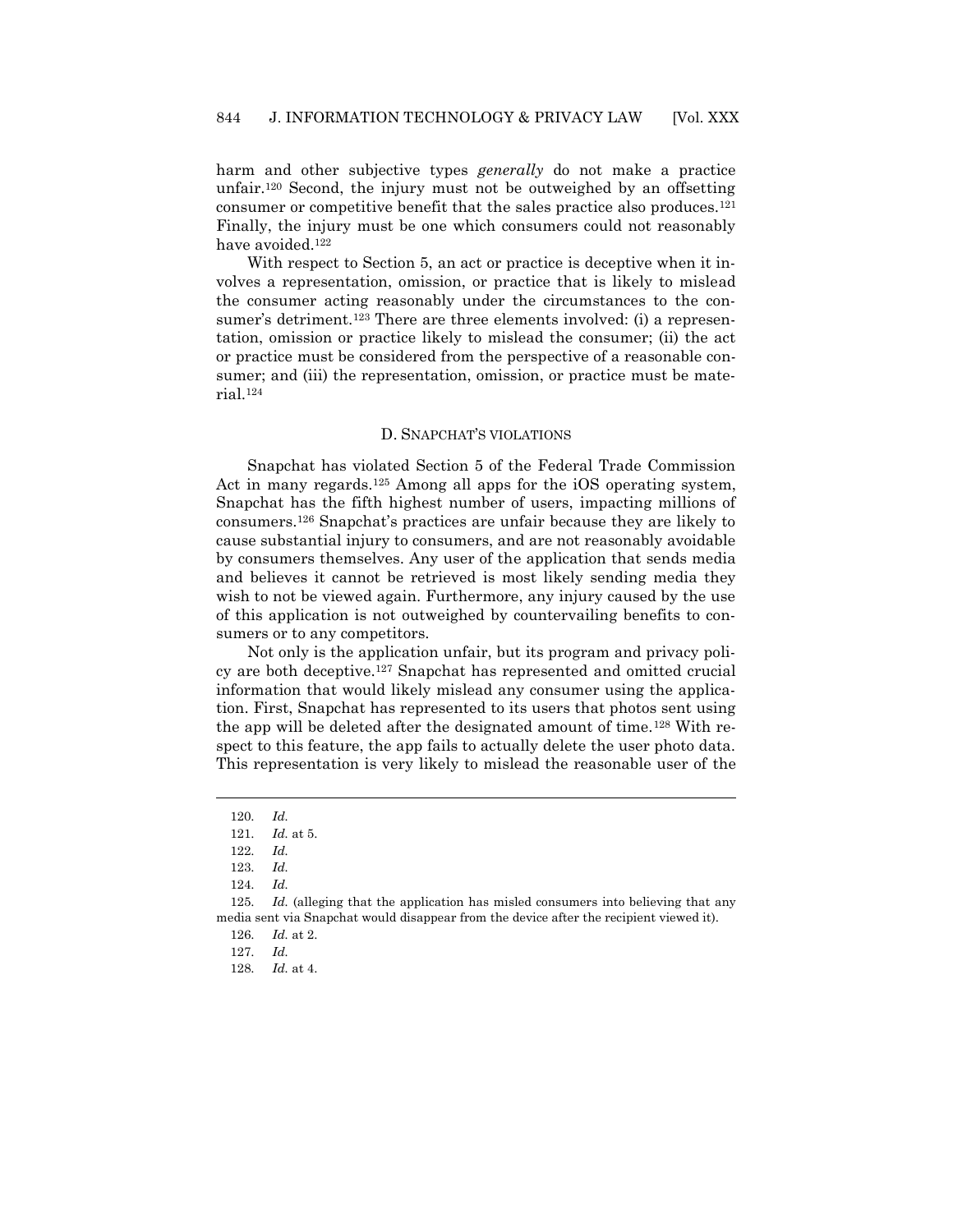harm and other subjective types *generally* do not make a practice unfair.<sup>120</sup> Second, the injury must not be outweighed by an offsetting consumer or competitive benefit that the sales practice also produces.<sup>121</sup> Finally, the injury must be one which consumers could not reasonably have avoided.<sup>122</sup>

With respect to Section 5, an act or practice is deceptive when it involves a representation, omission, or practice that is likely to mislead the consumer acting reasonably under the circumstances to the consumer's detriment.<sup>123</sup> There are three elements involved: (i) a representation, omission or practice likely to mislead the consumer; (ii) the act or practice must be considered from the perspective of a reasonable consumer; and (iii) the representation, omission, or practice must be material.<sup>124</sup>

#### D. SNAPCHAT'S VIOLATIONS

Snapchat has violated Section 5 of the Federal Trade Commission Act in many regards.<sup>125</sup> Among all apps for the iOS operating system, Snapchat has the fifth highest number of users, impacting millions of consumers.<sup>126</sup> Snapchat's practices are unfair because they are likely to cause substantial injury to consumers, and are not reasonably avoidable by consumers themselves. Any user of the application that sends media and believes it cannot be retrieved is most likely sending media they wish to not be viewed again. Furthermore, any injury caused by the use of this application is not outweighed by countervailing benefits to consumers or to any competitors.

Not only is the application unfair, but its program and privacy policy are both deceptive.<sup>127</sup> Snapchat has represented and omitted crucial information that would likely mislead any consumer using the application. First, Snapchat has represented to its users that photos sent using the app will be deleted after the designated amount of time.<sup>128</sup> With respect to this feature, the app fails to actually delete the user photo data. This representation is very likely to mislead the reasonable user of the

<sup>120.</sup> *Id.*

<sup>121.</sup> *Id.* at 5.

<sup>122.</sup> *Id.*

<sup>123.</sup> *Id.*

<sup>124.</sup> *Id.*

<sup>125.</sup> *Id.* (alleging that the application has misled consumers into believing that any media sent via Snapchat would disappear from the device after the recipient viewed it).

<sup>126.</sup> *Id.* at 2.

<sup>127.</sup> *Id.*

<sup>128.</sup> *Id.* at 4.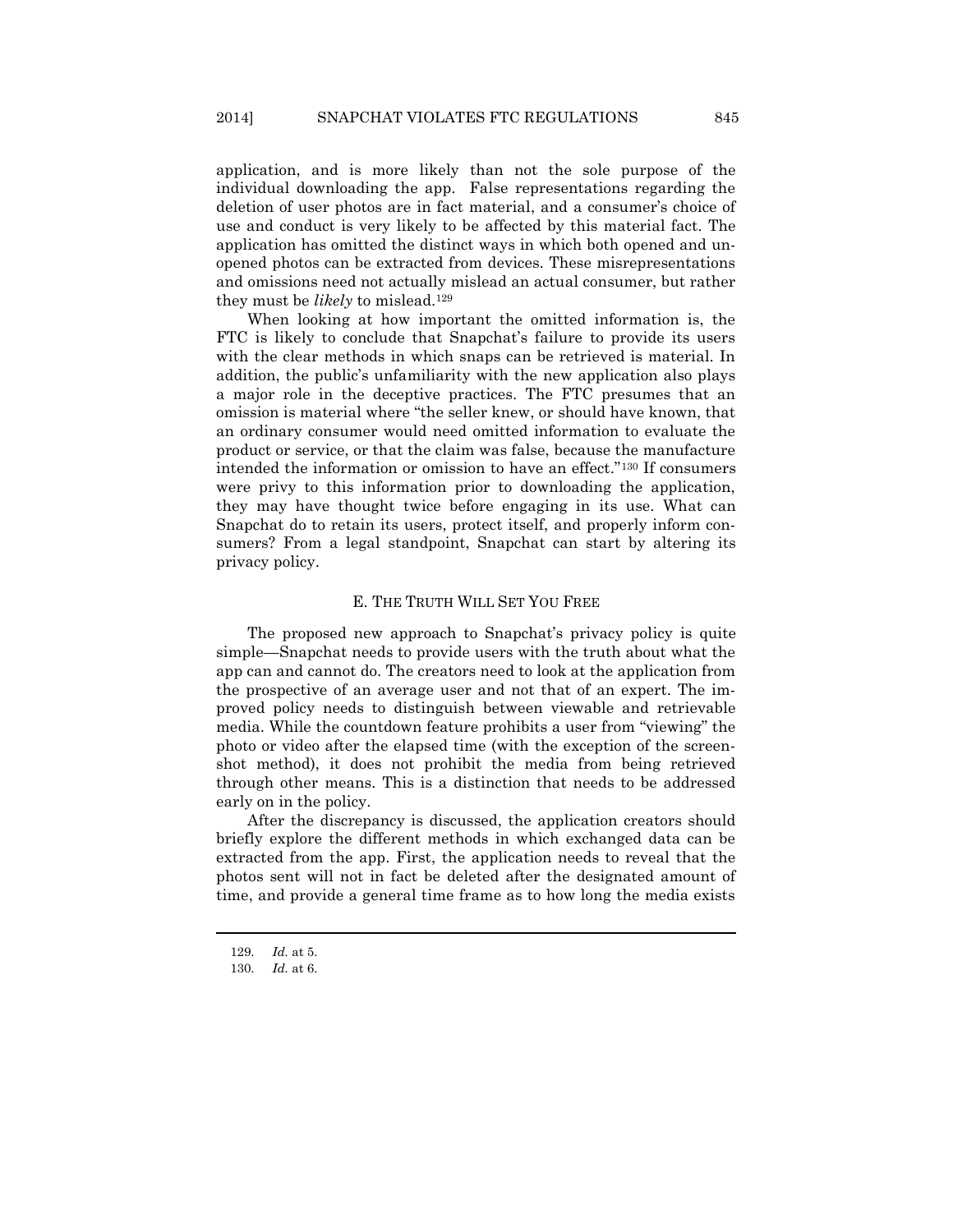application, and is more likely than not the sole purpose of the individual downloading the app. False representations regarding the deletion of user photos are in fact material, and a consumer's choice of use and conduct is very likely to be affected by this material fact. The application has omitted the distinct ways in which both opened and unopened photos can be extracted from devices. These misrepresentations and omissions need not actually mislead an actual consumer, but rather they must be *likely* to mislead.<sup>129</sup>

When looking at how important the omitted information is, the FTC is likely to conclude that Snapchat's failure to provide its users with the clear methods in which snaps can be retrieved is material. In addition, the public's unfamiliarity with the new application also plays a major role in the deceptive practices. The FTC presumes that an omission is material where "the seller knew, or should have known, that an ordinary consumer would need omitted information to evaluate the product or service, or that the claim was false, because the manufacture intended the information or omission to have an effect."<sup>130</sup> If consumers were privy to this information prior to downloading the application, they may have thought twice before engaging in its use. What can Snapchat do to retain its users, protect itself, and properly inform consumers? From a legal standpoint, Snapchat can start by altering its privacy policy.

### E. THE TRUTH WILL SET YOU FREE

The proposed new approach to Snapchat's privacy policy is quite simple—Snapchat needs to provide users with the truth about what the app can and cannot do. The creators need to look at the application from the prospective of an average user and not that of an expert. The improved policy needs to distinguish between viewable and retrievable media. While the countdown feature prohibits a user from "viewing" the photo or video after the elapsed time (with the exception of the screenshot method), it does not prohibit the media from being retrieved through other means. This is a distinction that needs to be addressed early on in the policy.

After the discrepancy is discussed, the application creators should briefly explore the different methods in which exchanged data can be extracted from the app. First, the application needs to reveal that the photos sent will not in fact be deleted after the designated amount of time, and provide a general time frame as to how long the media exists

<sup>129.</sup> *Id.* at 5.

<sup>130.</sup> *Id.* at 6.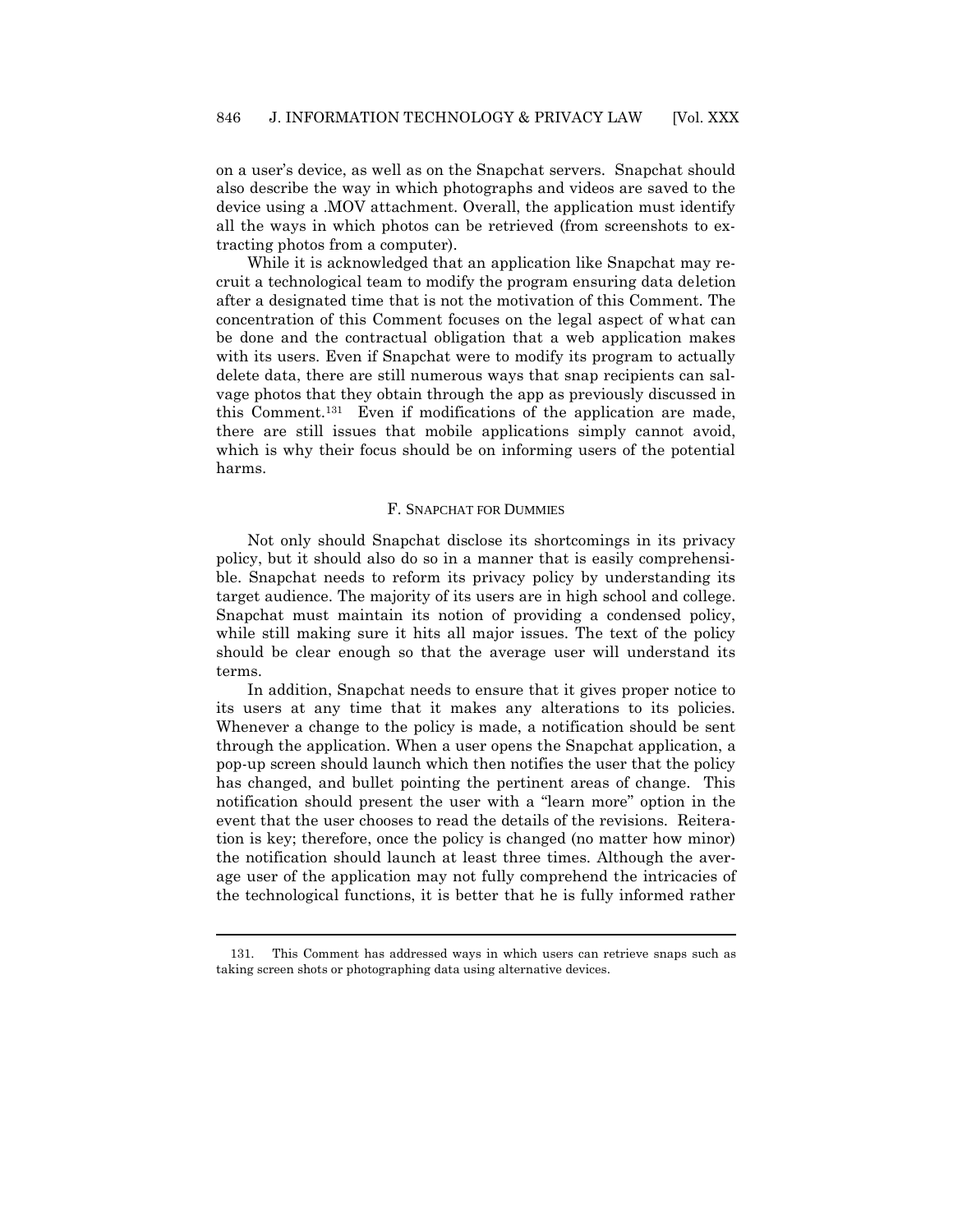on a user's device, as well as on the Snapchat servers. Snapchat should also describe the way in which photographs and videos are saved to the device using a .MOV attachment. Overall, the application must identify all the ways in which photos can be retrieved (from screenshots to extracting photos from a computer).

While it is acknowledged that an application like Snapchat may recruit a technological team to modify the program ensuring data deletion after a designated time that is not the motivation of this Comment. The concentration of this Comment focuses on the legal aspect of what can be done and the contractual obligation that a web application makes with its users. Even if Snapchat were to modify its program to actually delete data, there are still numerous ways that snap recipients can salvage photos that they obtain through the app as previously discussed in this Comment.131 Even if modifications of the application are made, there are still issues that mobile applications simply cannot avoid, which is why their focus should be on informing users of the potential harms.

#### F. SNAPCHAT FOR DUMMIES

Not only should Snapchat disclose its shortcomings in its privacy policy, but it should also do so in a manner that is easily comprehensible. Snapchat needs to reform its privacy policy by understanding its target audience. The majority of its users are in high school and college. Snapchat must maintain its notion of providing a condensed policy, while still making sure it hits all major issues. The text of the policy should be clear enough so that the average user will understand its terms.

In addition, Snapchat needs to ensure that it gives proper notice to its users at any time that it makes any alterations to its policies. Whenever a change to the policy is made, a notification should be sent through the application. When a user opens the Snapchat application, a pop-up screen should launch which then notifies the user that the policy has changed, and bullet pointing the pertinent areas of change. This notification should present the user with a "learn more" option in the event that the user chooses to read the details of the revisions. Reiteration is key; therefore, once the policy is changed (no matter how minor) the notification should launch at least three times. Although the average user of the application may not fully comprehend the intricacies of the technological functions, it is better that he is fully informed rather

<sup>131.</sup> This Comment has addressed ways in which users can retrieve snaps such as taking screen shots or photographing data using alternative devices.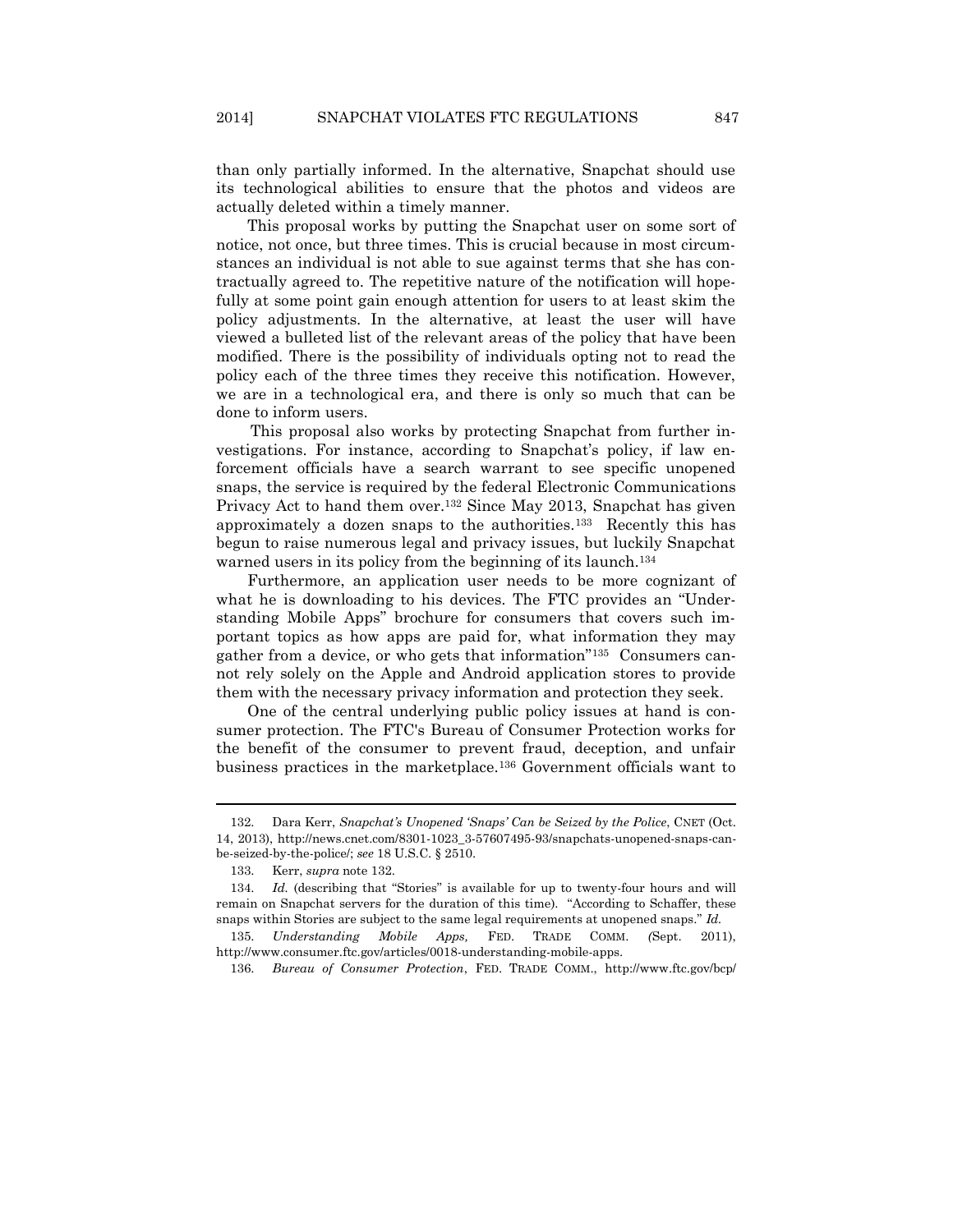than only partially informed. In the alternative, Snapchat should use its technological abilities to ensure that the photos and videos are actually deleted within a timely manner.

This proposal works by putting the Snapchat user on some sort of notice, not once, but three times. This is crucial because in most circumstances an individual is not able to sue against terms that she has contractually agreed to. The repetitive nature of the notification will hopefully at some point gain enough attention for users to at least skim the policy adjustments. In the alternative, at least the user will have viewed a bulleted list of the relevant areas of the policy that have been modified. There is the possibility of individuals opting not to read the policy each of the three times they receive this notification. However, we are in a technological era, and there is only so much that can be done to inform users.

<span id="page-21-0"></span>This proposal also works by protecting Snapchat from further investigations. For instance, according to Snapchat's policy, if law enforcement officials have a search warrant to see specific unopened snaps, the service is required by the federal Electronic Communications Privacy Act to hand them over.<sup>132</sup> Since May 2013, Snapchat has given approximately a dozen snaps to the authorities.133 Recently this has begun to raise numerous legal and privacy issues, but luckily Snapchat warned users in its policy from the beginning of its launch.<sup>134</sup>

Furthermore, an application user needs to be more cognizant of what he is downloading to his devices. The FTC provides an "Understanding Mobile Apps" brochure for consumers that covers such important topics as how apps are paid for, what information they may gather from a device, or who gets that information"135 Consumers cannot rely solely on the Apple and Android application stores to provide them with the necessary privacy information and protection they seek.

<span id="page-21-1"></span>One of the central underlying public policy issues at hand is consumer protection. The FTC's Bureau of Consumer Protection works for the benefit of the consumer to prevent fraud, deception, and unfair business practices in the marketplace.<sup>136</sup> Government officials want to

<sup>132.</sup> Dara Kerr, *Snapchat's Unopened 'Snaps' Can be Seized by the Police*, CNET (Oct. 14, 2013), http://news.cnet.com/8301-1023\_3-57607495-93/snapchats-unopened-snaps-canbe-seized-by-the-police/; *see* 18 U.S.C. § 2510.

<sup>133.</sup> Kerr, *supra* not[e 132.](#page-21-0)

<sup>134.</sup> *Id.* (describing that "Stories" is available for up to twenty-four hours and will remain on Snapchat servers for the duration of this time). "According to Schaffer, these snaps within Stories are subject to the same legal requirements at unopened snaps." *Id.*

<sup>135.</sup> *Understanding Mobile Apps,* FED. TRADE COMM. *(*Sept. 2011), http://www.consumer.ftc.gov/articles/0018-understanding-mobile-apps.

<sup>136.</sup> *Bureau of Consumer Protection*, FED. TRADE COMM., http://www.ftc.gov/bcp/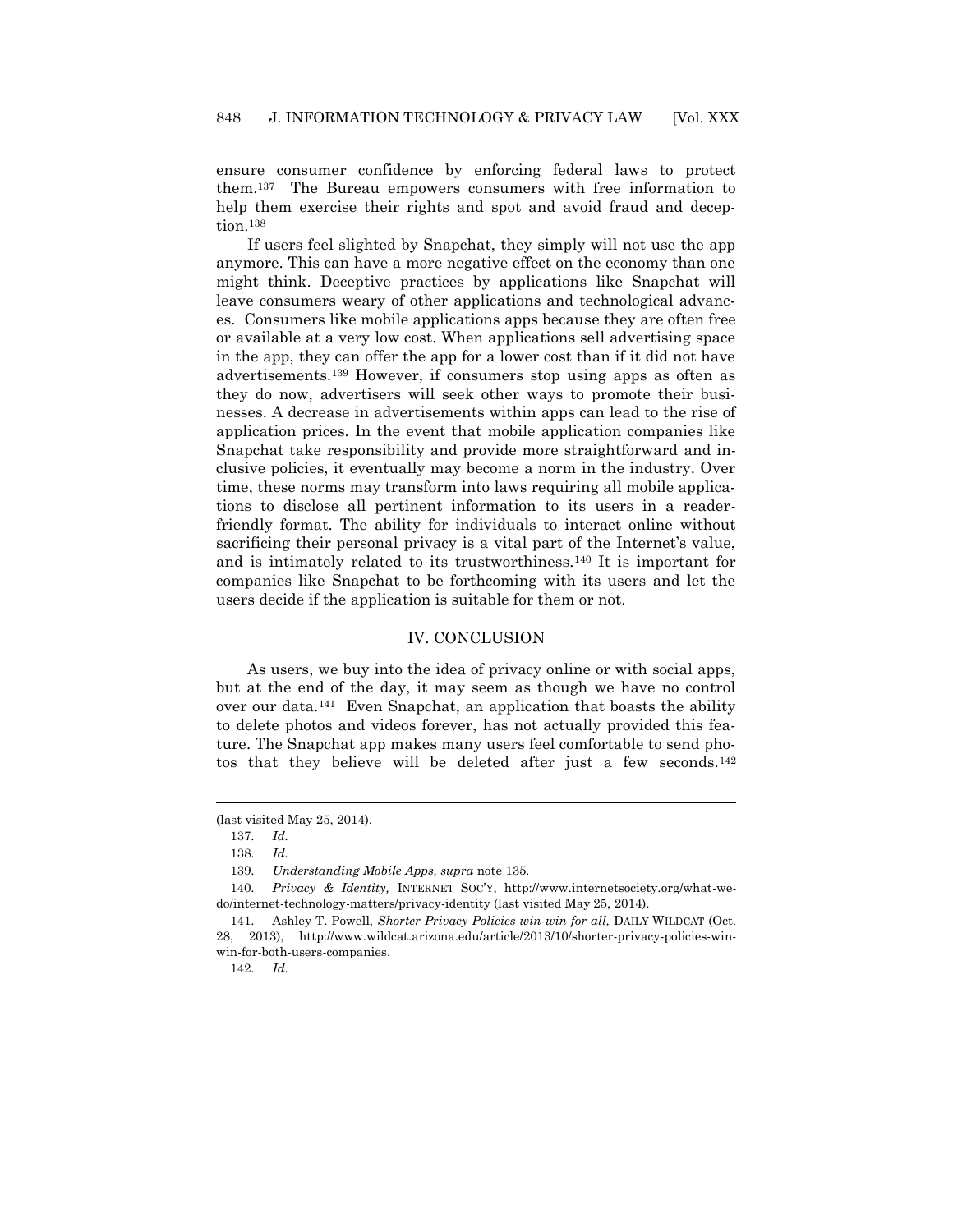ensure consumer confidence by enforcing federal laws to protect them.137 The Bureau empowers consumers with free information to help them exercise their rights and spot and avoid fraud and deception.<sup>138</sup>

If users feel slighted by Snapchat, they simply will not use the app anymore. This can have a more negative effect on the economy than one might think. Deceptive practices by applications like Snapchat will leave consumers weary of other applications and technological advances. Consumers like mobile applications apps because they are often free or available at a very low cost. When applications sell advertising space in the app, they can offer the app for a lower cost than if it did not have advertisements.<sup>139</sup> However, if consumers stop using apps as often as they do now, advertisers will seek other ways to promote their businesses. A decrease in advertisements within apps can lead to the rise of application prices. In the event that mobile application companies like Snapchat take responsibility and provide more straightforward and inclusive policies, it eventually may become a norm in the industry. Over time, these norms may transform into laws requiring all mobile applications to disclose all pertinent information to its users in a readerfriendly format. The ability for individuals to interact online without sacrificing their personal privacy is a vital part of the Internet's value, and is intimately related to its trustworthiness.<sup>140</sup> It is important for companies like Snapchat to be forthcoming with its users and let the users decide if the application is suitable for them or not.

### <span id="page-22-0"></span>IV. CONCLUSION

As users, we buy into the idea of privacy online or with social apps, but at the end of the day, it may seem as though we have no control over our data.141 Even Snapchat, an application that boasts the ability to delete photos and videos forever, has not actually provided this feature. The Snapchat app makes many users feel comfortable to send photos that they believe will be deleted after just a few seconds.<sup>142</sup>

 $\overline{a}$ 

142. *Id.*

<sup>(</sup>last visited May 25, 2014).

<sup>137.</sup> *Id.*

<sup>138.</sup> *Id.*

<sup>139.</sup> *Understanding Mobile Apps, supra* not[e 135](#page-21-1)*.*

<sup>140.</sup> *Privacy & Identity,* INTERNET SOC'Y, http://www.internetsociety.org/what-wedo/internet-technology-matters/privacy-identity (last visited May 25, 2014).

<sup>141.</sup> Ashley T. Powell, *Shorter Privacy Policies win-win for all,* DAILY WILDCAT (Oct. 28, 2013), http://www.wildcat.arizona.edu/article/2013/10/shorter-privacy-policies-winwin-for-both-users-companies.